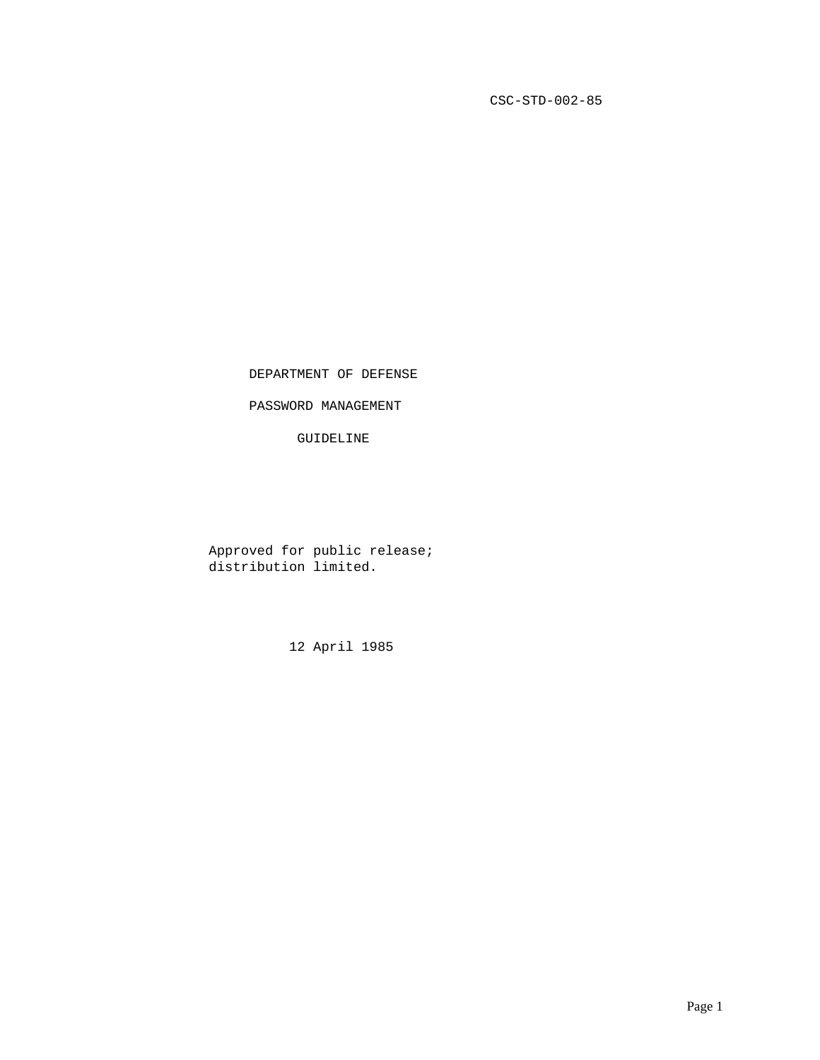CSC-STD-002-85

DEPARTMENT OF DEFENSE

PASSWORD MANAGEMENT

GUIDELINE

 Approved for public release; distribution limited.

12 April 1985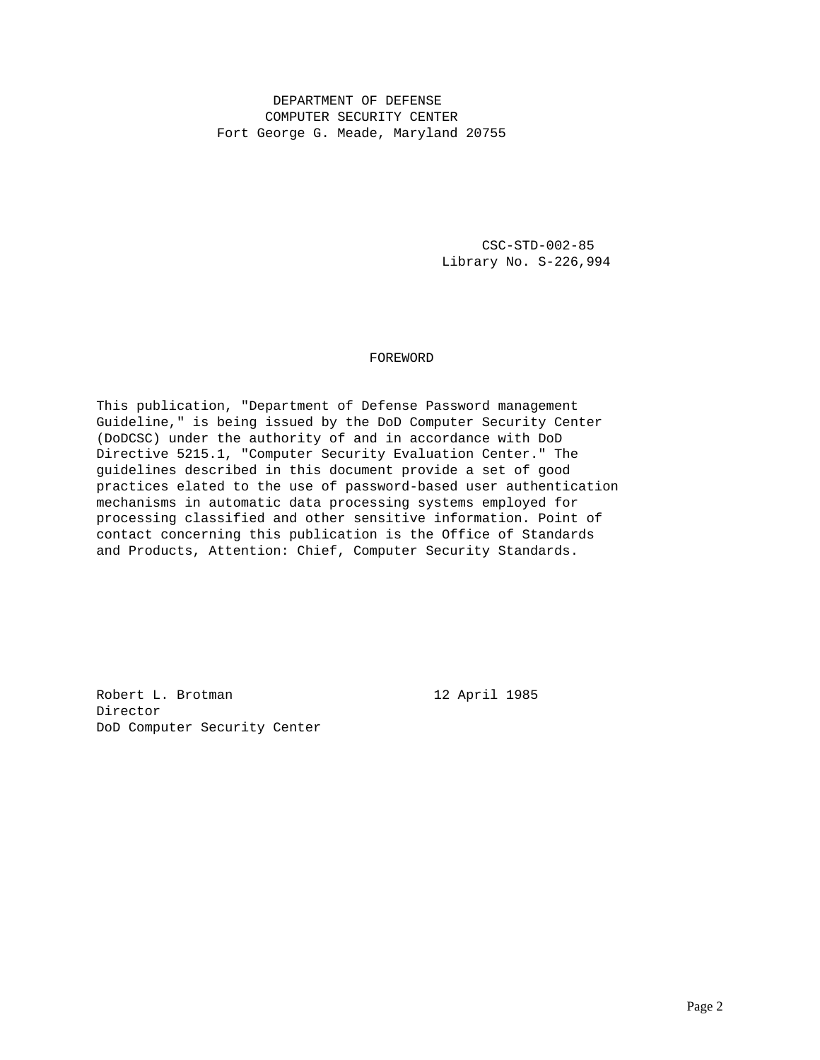# DEPARTMENT OF DEFENSE COMPUTER SECURITY CENTER Fort George G. Meade, Maryland 20755

 CSC-STD-002-85 Library No. S-226,994

# FOREWORD

This publication, "Department of Defense Password management Guideline," is being issued by the DoD Computer Security Center (DoDCSC) under the authority of and in accordance with DoD Directive 5215.1, "Computer Security Evaluation Center." The guidelines described in this document provide a set of good practices elated to the use of password-based user authentication mechanisms in automatic data processing systems employed for processing classified and other sensitive information. Point of contact concerning this publication is the Office of Standards and Products, Attention: Chief, Computer Security Standards.

Robert L. Brotman 12 April 1985 Director DoD Computer Security Center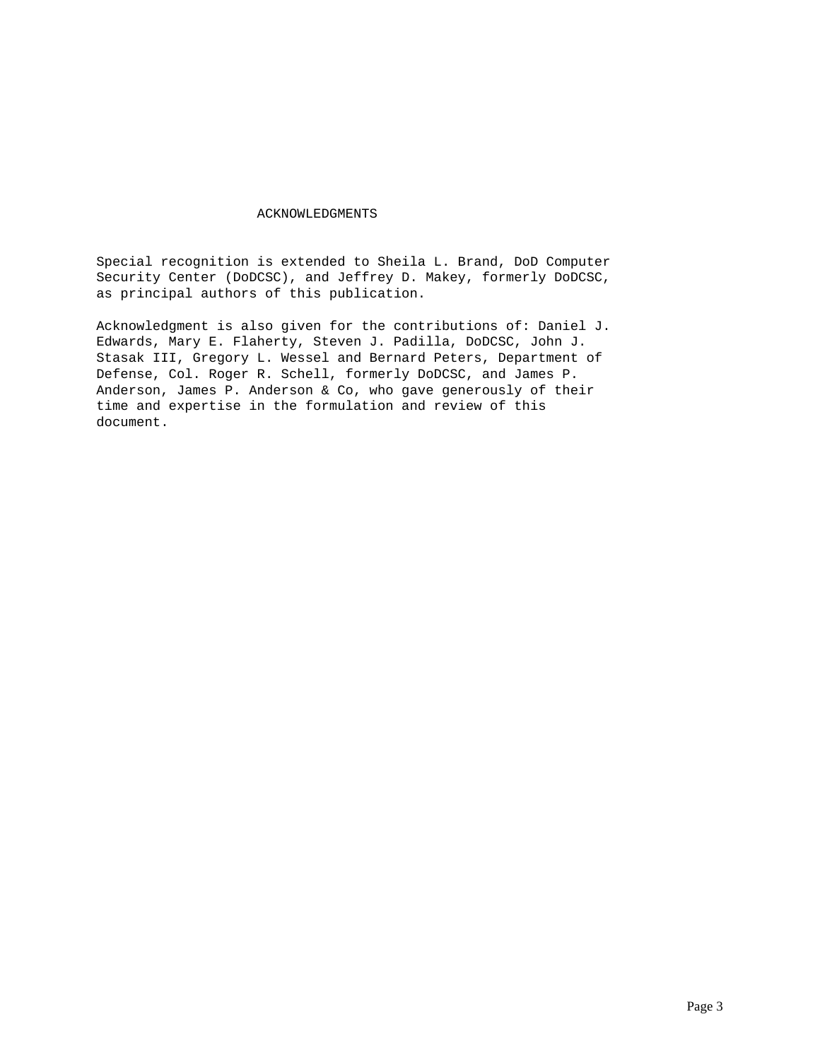# ACKNOWLEDGMENTS

Special recognition is extended to Sheila L. Brand, DoD Computer Security Center (DoDCSC), and Jeffrey D. Makey, formerly DoDCSC, as principal authors of this publication.

Acknowledgment is also given for the contributions of: Daniel J. Edwards, Mary E. Flaherty, Steven J. Padilla, DoDCSC, John J. Stasak III, Gregory L. Wessel and Bernard Peters, Department of Defense, Col. Roger R. Schell, formerly DoDCSC, and James P. Anderson, James P. Anderson & Co, who gave generously of their time and expertise in the formulation and review of this document.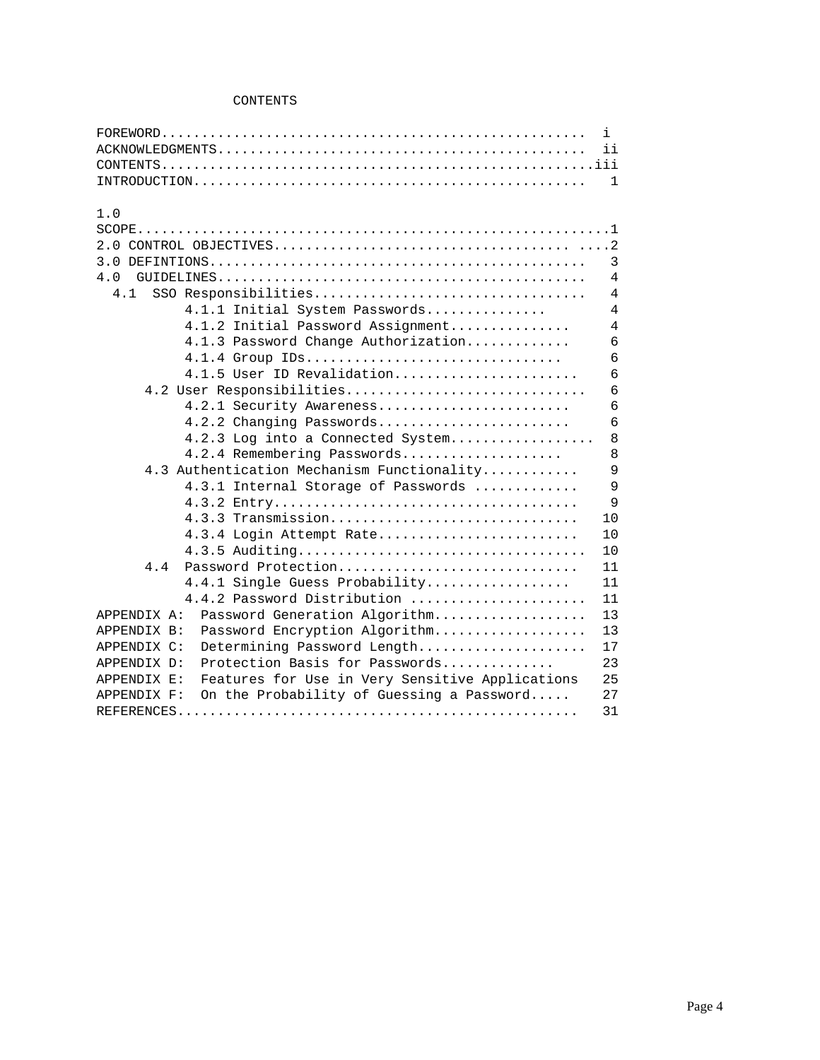# CONTENTS

|                                                                | i.             |
|----------------------------------------------------------------|----------------|
|                                                                | ii             |
|                                                                |                |
|                                                                | 1              |
| 1.0                                                            |                |
|                                                                |                |
|                                                                |                |
|                                                                | 3              |
| 4.0                                                            | $\overline{4}$ |
| SSO Responsibilities<br>4.1                                    | $\overline{4}$ |
| 4.1.1 Initial System Passwords                                 | $\overline{4}$ |
| 4.1.2 Initial Password Assignment                              | $\overline{4}$ |
| 4.1.3 Password Change Authorization                            | 6              |
| 4.1.4 Group IDs                                                | 6              |
| 4.1.5 User ID Revalidation                                     | 6              |
| 4.2 User Responsibilities                                      | 6              |
| 4.2.1 Security Awareness                                       | 6              |
| 4.2.2 Changing Passwords                                       | 6              |
| 4.2.3 Log into a Connected System                              | 8              |
| 4.2.4 Remembering Passwords                                    | 8              |
| 4.3 Authentication Mechanism Functionality                     | $\mathsf{Q}$   |
| 4.3.1 Internal Storage of Passwords                            | 9              |
|                                                                | $\mathsf{Q}$   |
| 4.3.3 Transmission                                             | 10             |
| 4.3.4 Login Attempt Rate                                       | 10             |
|                                                                | 10             |
| Password Protection<br>4.4                                     | 11             |
|                                                                | 11             |
| 4.4.1 Single Guess Probability                                 | 11             |
| 4.4.2 Password Distribution                                    |                |
| Password Generation Algorithm<br>APPENDIX A:                   | 13             |
| Password Encryption Algorithm<br>APPENDIX B:                   | 13             |
| Determining Password Length<br>APPENDIX C:                     | 17             |
| Protection Basis for Passwords<br>APPENDIX D:                  | 23             |
| Features for Use in Very Sensitive Applications<br>APPENDIX E: | 25             |
| On the Probability of Guessing a Password<br>APPENDIX F:       | 27             |
|                                                                | 31             |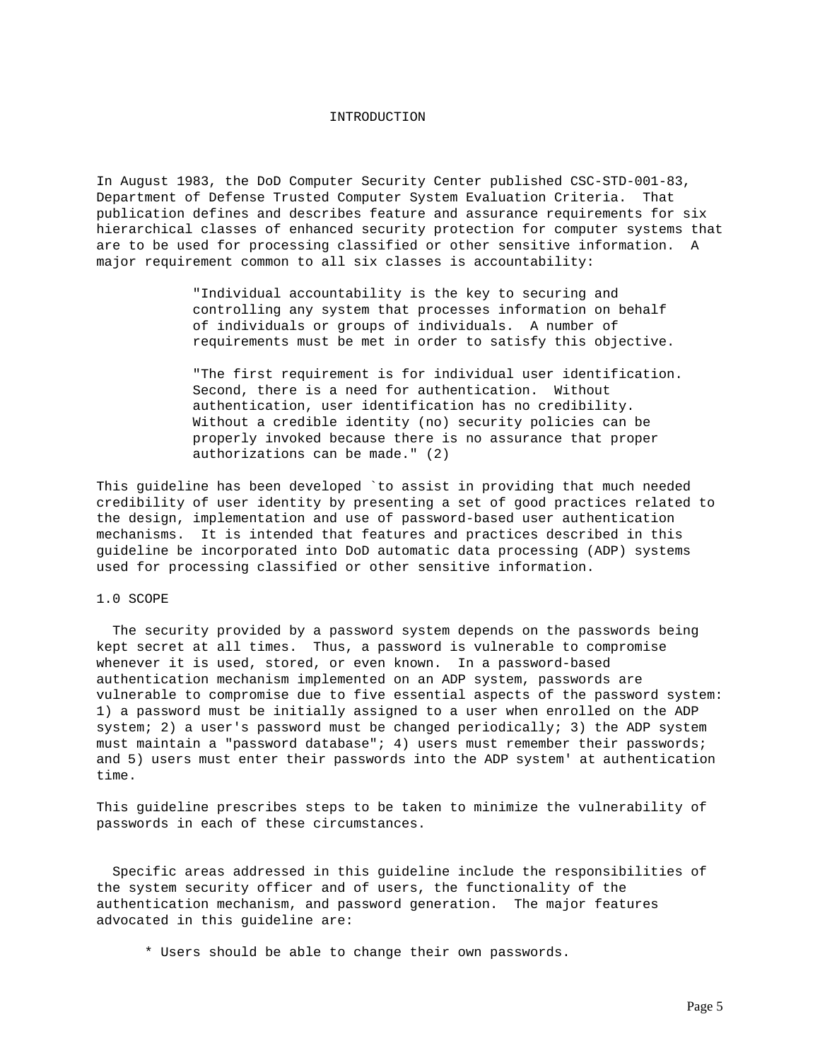## INTRODUCTION

In August 1983, the DoD Computer Security Center published CSC-STD-001-83, Department of Defense Trusted Computer System Evaluation Criteria. That publication defines and describes feature and assurance requirements for six hierarchical classes of enhanced security protection for computer systems that are to be used for processing classified or other sensitive information. A major requirement common to all six classes is accountability:

> "Individual accountability is the key to securing and controlling any system that processes information on behalf of individuals or groups of individuals. A number of requirements must be met in order to satisfy this objective.

 "The first requirement is for individual user identification. Second, there is a need for authentication. Without authentication, user identification has no credibility. Without a credible identity (no) security policies can be properly invoked because there is no assurance that proper authorizations can be made." (2)

This guideline has been developed `to assist in providing that much needed credibility of user identity by presenting a set of good practices related to the design, implementation and use of password-based user authentication mechanisms. It is intended that features and practices described in this guideline be incorporated into DoD automatic data processing (ADP) systems used for processing classified or other sensitive information.

## 1.0 SCOPE

 The security provided by a password system depends on the passwords being kept secret at all times. Thus, a password is vulnerable to compromise whenever it is used, stored, or even known. In a password-based authentication mechanism implemented on an ADP system, passwords are vulnerable to compromise due to five essential aspects of the password system: 1) a password must be initially assigned to a user when enrolled on the ADP system; 2) a user's password must be changed periodically; 3) the ADP system must maintain a "password database"; 4) users must remember their passwords; and 5) users must enter their passwords into the ADP system' at authentication time.

This guideline prescribes steps to be taken to minimize the vulnerability of passwords in each of these circumstances.

 Specific areas addressed in this guideline include the responsibilities of the system security officer and of users, the functionality of the authentication mechanism, and password generation. The major features advocated in this guideline are:

\* Users should be able to change their own passwords.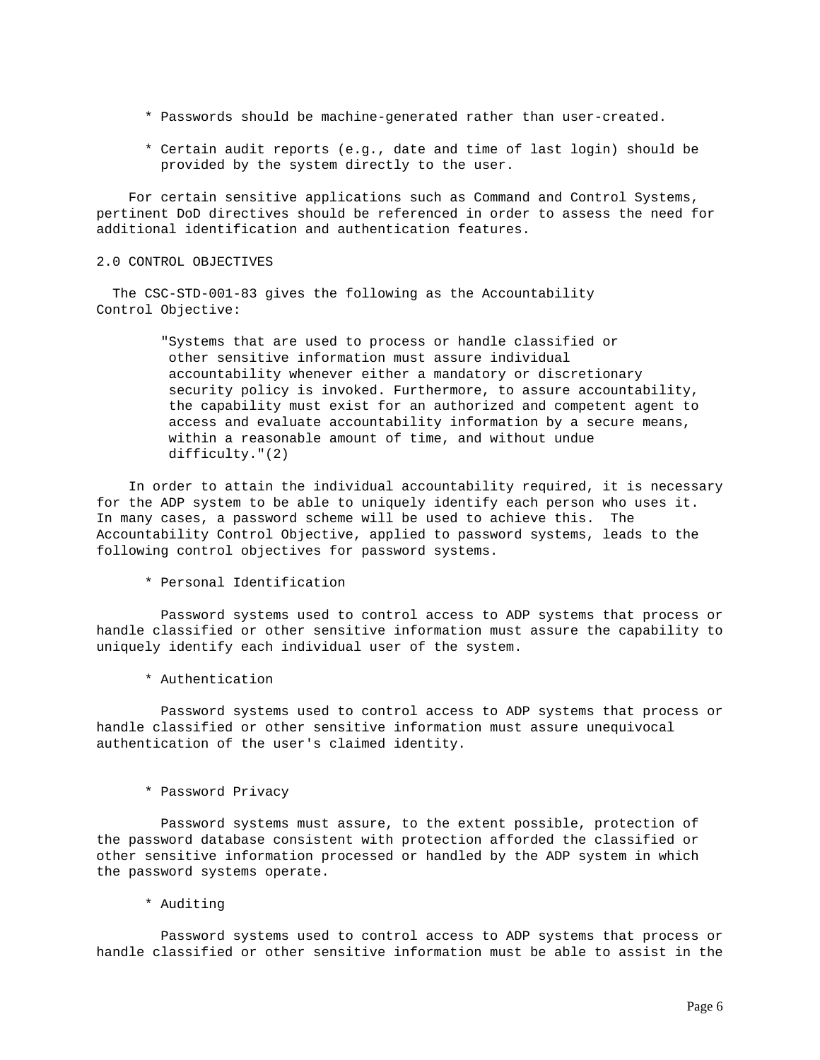- \* Passwords should be machine-generated rather than user-created.
- \* Certain audit reports (e.g., date and time of last login) should be provided by the system directly to the user.

 For certain sensitive applications such as Command and Control Systems, pertinent DoD directives should be referenced in order to assess the need for additional identification and authentication features.

## 2.0 CONTROL OBJECTIVES

 The CSC-STD-001-83 gives the following as the Accountability Control Objective:

> "Systems that are used to process or handle classified or other sensitive information must assure individual accountability whenever either a mandatory or discretionary security policy is invoked. Furthermore, to assure accountability, the capability must exist for an authorized and competent agent to access and evaluate accountability information by a secure means, within a reasonable amount of time, and without undue difficulty."(2)

 In order to attain the individual accountability required, it is necessary for the ADP system to be able to uniquely identify each person who uses it. In many cases, a password scheme will be used to achieve this. The Accountability Control Objective, applied to password systems, leads to the following control objectives for password systems.

# \* Personal Identification

 Password systems used to control access to ADP systems that process or handle classified or other sensitive information must assure the capability to uniquely identify each individual user of the system.

\* Authentication

 Password systems used to control access to ADP systems that process or handle classified or other sensitive information must assure unequivocal authentication of the user's claimed identity.

### \* Password Privacy

 Password systems must assure, to the extent possible, protection of the password database consistent with protection afforded the classified or other sensitive information processed or handled by the ADP system in which the password systems operate.

\* Auditing

 Password systems used to control access to ADP systems that process or handle classified or other sensitive information must be able to assist in the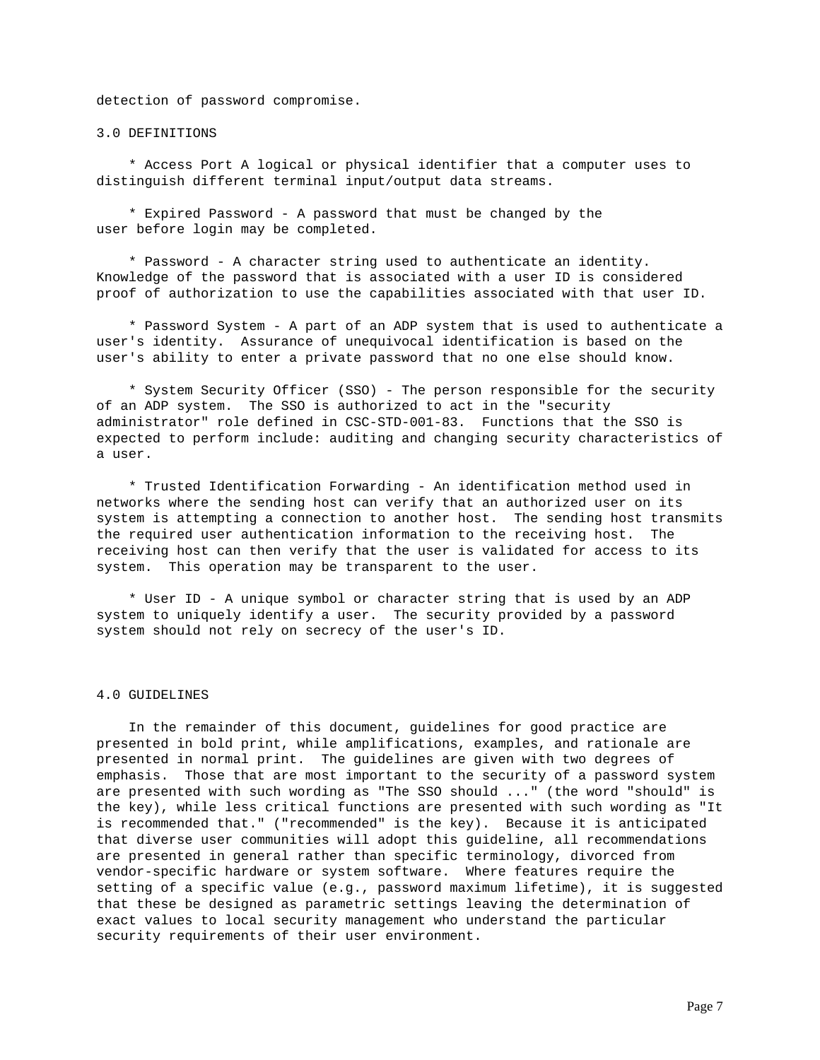detection of password compromise.

3.0 DEFINITIONS

 \* Access Port A logical or physical identifier that a computer uses to distinguish different terminal input/output data streams.

 \* Expired Password - A password that must be changed by the user before login may be completed.

 \* Password - A character string used to authenticate an identity. Knowledge of the password that is associated with a user ID is considered proof of authorization to use the capabilities associated with that user ID.

 \* Password System - A part of an ADP system that is used to authenticate a user's identity. Assurance of unequivocal identification is based on the user's ability to enter a private password that no one else should know.

 \* System Security Officer (SSO) - The person responsible for the security of an ADP system. The SSO is authorized to act in the "security administrator" role defined in CSC-STD-001-83. Functions that the SSO is expected to perform include: auditing and changing security characteristics of a user.

 \* Trusted Identification Forwarding - An identification method used in networks where the sending host can verify that an authorized user on its system is attempting a connection to another host. The sending host transmits the required user authentication information to the receiving host. The receiving host can then verify that the user is validated for access to its system. This operation may be transparent to the user.

 \* User ID - A unique symbol or character string that is used by an ADP system to uniquely identify a user. The security provided by a password system should not rely on secrecy of the user's ID.

#### 4.0 GUIDELINES

 In the remainder of this document, guidelines for good practice are presented in bold print, while amplifications, examples, and rationale are presented in normal print. The guidelines are given with two degrees of emphasis. Those that are most important to the security of a password system are presented with such wording as "The SSO should ..." (the word "should" is the key), while less critical functions are presented with such wording as "It is recommended that." ("recommended" is the key). Because it is anticipated that diverse user communities will adopt this guideline, all recommendations are presented in general rather than specific terminology, divorced from vendor-specific hardware or system software. Where features require the setting of a specific value (e.g., password maximum lifetime), it is suggested that these be designed as parametric settings leaving the determination of exact values to local security management who understand the particular security requirements of their user environment.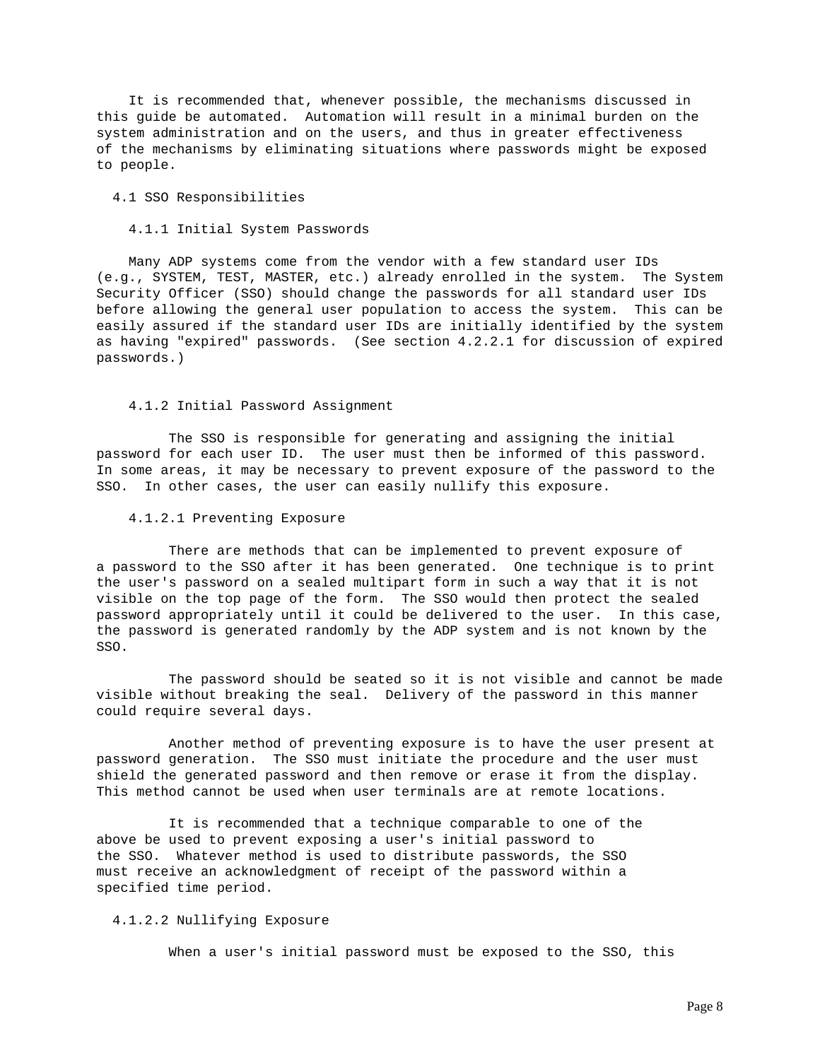It is recommended that, whenever possible, the mechanisms discussed in this guide be automated. Automation will result in a minimal burden on the system administration and on the users, and thus in greater effectiveness of the mechanisms by eliminating situations where passwords might be exposed to people.

## 4.1 SSO Responsibilities

# 4.1.1 Initial System Passwords

 Many ADP systems come from the vendor with a few standard user IDs (e.g., SYSTEM, TEST, MASTER, etc.) already enrolled in the system. The System Security Officer (SSO) should change the passwords for all standard user IDs before allowing the general user population to access the system. This can be easily assured if the standard user IDs are initially identified by the system as having "expired" passwords. (See section 4.2.2.1 for discussion of expired passwords.)

# 4.1.2 Initial Password Assignment

 The SSO is responsible for generating and assigning the initial password for each user ID. The user must then be informed of this password. In some areas, it may be necessary to prevent exposure of the password to the SSO. In other cases, the user can easily nullify this exposure.

### 4.1.2.1 Preventing Exposure

 There are methods that can be implemented to prevent exposure of a password to the SSO after it has been generated. One technique is to print the user's password on a sealed multipart form in such a way that it is not visible on the top page of the form. The SSO would then protect the sealed password appropriately until it could be delivered to the user. In this case, the password is generated randomly by the ADP system and is not known by the SSO.

 The password should be seated so it is not visible and cannot be made visible without breaking the seal. Delivery of the password in this manner could require several days.

 Another method of preventing exposure is to have the user present at password generation. The SSO must initiate the procedure and the user must shield the generated password and then remove or erase it from the display. This method cannot be used when user terminals are at remote locations.

 It is recommended that a technique comparable to one of the above be used to prevent exposing a user's initial password to the SSO. Whatever method is used to distribute passwords, the SSO must receive an acknowledgment of receipt of the password within a specified time period.

## 4.1.2.2 Nullifying Exposure

When a user's initial password must be exposed to the SSO, this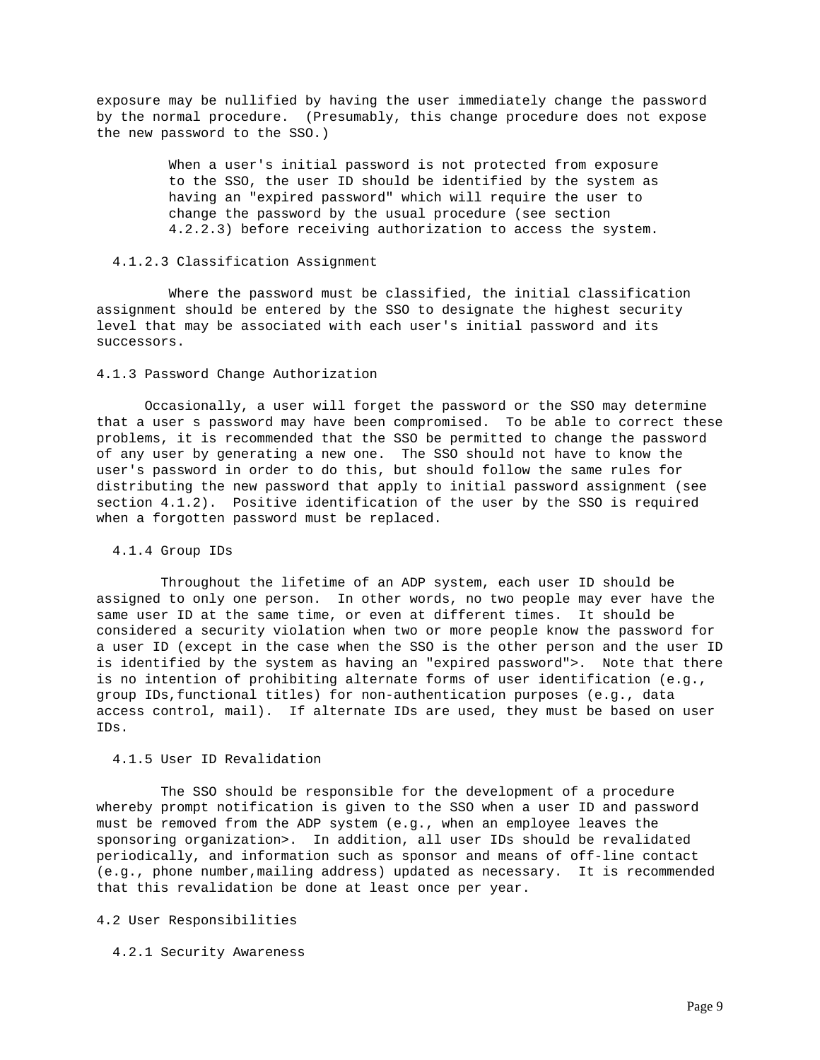exposure may be nullified by having the user immediately change the password by the normal procedure. (Presumably, this change procedure does not expose the new password to the SSO.)

> When a user's initial password is not protected from exposure to the SSO, the user ID should be identified by the system as having an "expired password" which will require the user to change the password by the usual procedure (see section 4.2.2.3) before receiving authorization to access the system.

### 4.1.2.3 Classification Assignment

 Where the password must be classified, the initial classification assignment should be entered by the SSO to designate the highest security level that may be associated with each user's initial password and its successors.

# 4.1.3 Password Change Authorization

 Occasionally, a user will forget the password or the SSO may determine that a user s password may have been compromised. To be able to correct these problems, it is recommended that the SSO be permitted to change the password of any user by generating a new one. The SSO should not have to know the user's password in order to do this, but should follow the same rules for distributing the new password that apply to initial password assignment (see section 4.1.2). Positive identification of the user by the SSO is required when a forgotten password must be replaced.

## 4.1.4 Group IDs

 Throughout the lifetime of an ADP system, each user ID should be assigned to only one person. In other words, no two people may ever have the same user ID at the same time, or even at different times. It should be considered a security violation when two or more people know the password for a user ID (except in the case when the SSO is the other person and the user ID is identified by the system as having an "expired password">. Note that there is no intention of prohibiting alternate forms of user identification (e.g., group IDs,functional titles) for non-authentication purposes (e.g., data access control, mail). If alternate IDs are used, they must be based on user IDs.

## 4.1.5 User ID Revalidation

 The SSO should be responsible for the development of a procedure whereby prompt notification is given to the SSO when a user ID and password must be removed from the ADP system (e.g., when an employee leaves the sponsoring organization>. In addition, all user IDs should be revalidated periodically, and information such as sponsor and means of off-line contact (e.g., phone number,mailing address) updated as necessary. It is recommended that this revalidation be done at least once per year.

### 4.2 User Responsibilities

# 4.2.1 Security Awareness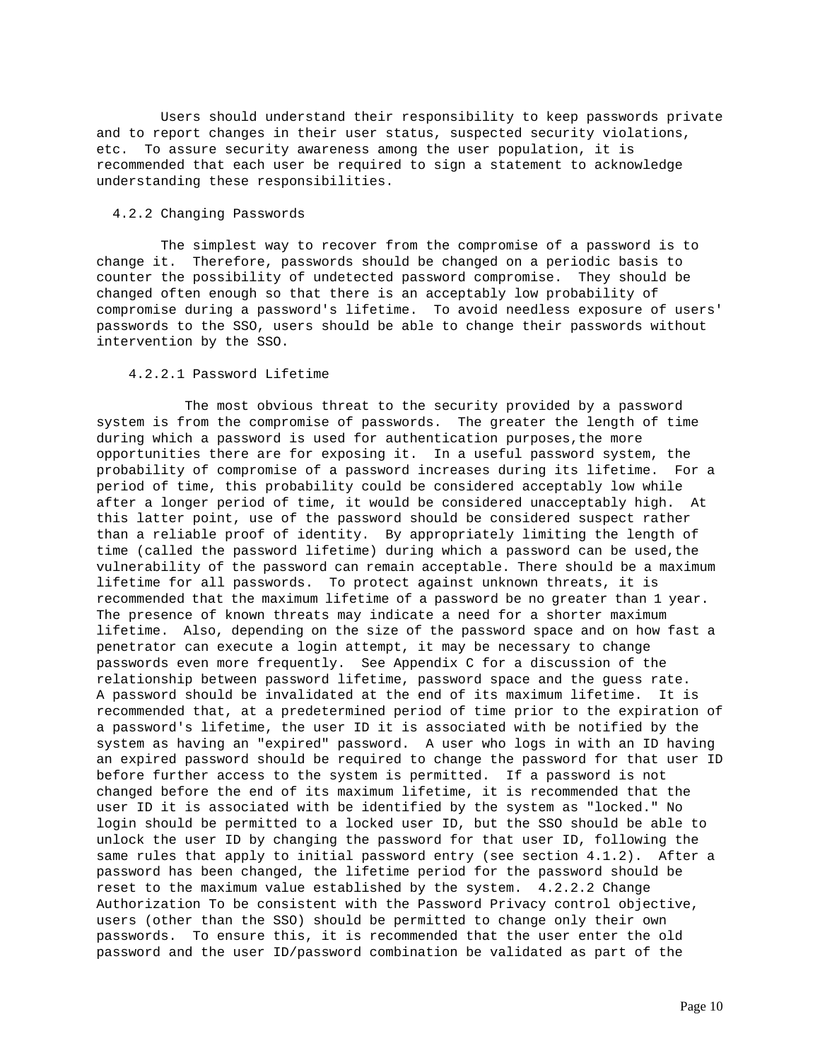Users should understand their responsibility to keep passwords private and to report changes in their user status, suspected security violations, etc. To assure security awareness among the user population, it is recommended that each user be required to sign a statement to acknowledge understanding these responsibilities.

# 4.2.2 Changing Passwords

 The simplest way to recover from the compromise of a password is to change it. Therefore, passwords should be changed on a periodic basis to counter the possibility of undetected password compromise. They should be changed often enough so that there is an acceptably low probability of compromise during a password's lifetime. To avoid needless exposure of users' passwords to the SSO, users should be able to change their passwords without intervention by the SSO.

# 4.2.2.1 Password Lifetime

 The most obvious threat to the security provided by a password system is from the compromise of passwords. The greater the length of time during which a password is used for authentication purposes,the more opportunities there are for exposing it. In a useful password system, the probability of compromise of a password increases during its lifetime. For a period of time, this probability could be considered acceptably low while after a longer period of time, it would be considered unacceptably high. At this latter point, use of the password should be considered suspect rather than a reliable proof of identity. By appropriately limiting the length of time (called the password lifetime) during which a password can be used, the vulnerability of the password can remain acceptable. There should be a maximum lifetime for all passwords. To protect against unknown threats, it is recommended that the maximum lifetime of a password be no greater than 1 year. The presence of known threats may indicate a need for a shorter maximum lifetime. Also, depending on the size of the password space and on how fast a penetrator can execute a login attempt, it may be necessary to change passwords even more frequently. See Appendix C for a discussion of the relationship between password lifetime, password space and the guess rate. A password should be invalidated at the end of its maximum lifetime. It is recommended that, at a predetermined period of time prior to the expiration of a password's lifetime, the user ID it is associated with be notified by the system as having an "expired" password. A user who logs in with an ID having an expired password should be required to change the password for that user ID before further access to the system is permitted. If a password is not changed before the end of its maximum lifetime, it is recommended that the user ID it is associated with be identified by the system as "locked." No login should be permitted to a locked user ID, but the SSO should be able to unlock the user ID by changing the password for that user ID, following the same rules that apply to initial password entry (see section 4.1.2). After a password has been changed, the lifetime period for the password should be reset to the maximum value established by the system. 4.2.2.2 Change Authorization To be consistent with the Password Privacy control objective, users (other than the SSO) should be permitted to change only their own passwords. To ensure this, it is recommended that the user enter the old password and the user ID/password combination be validated as part of the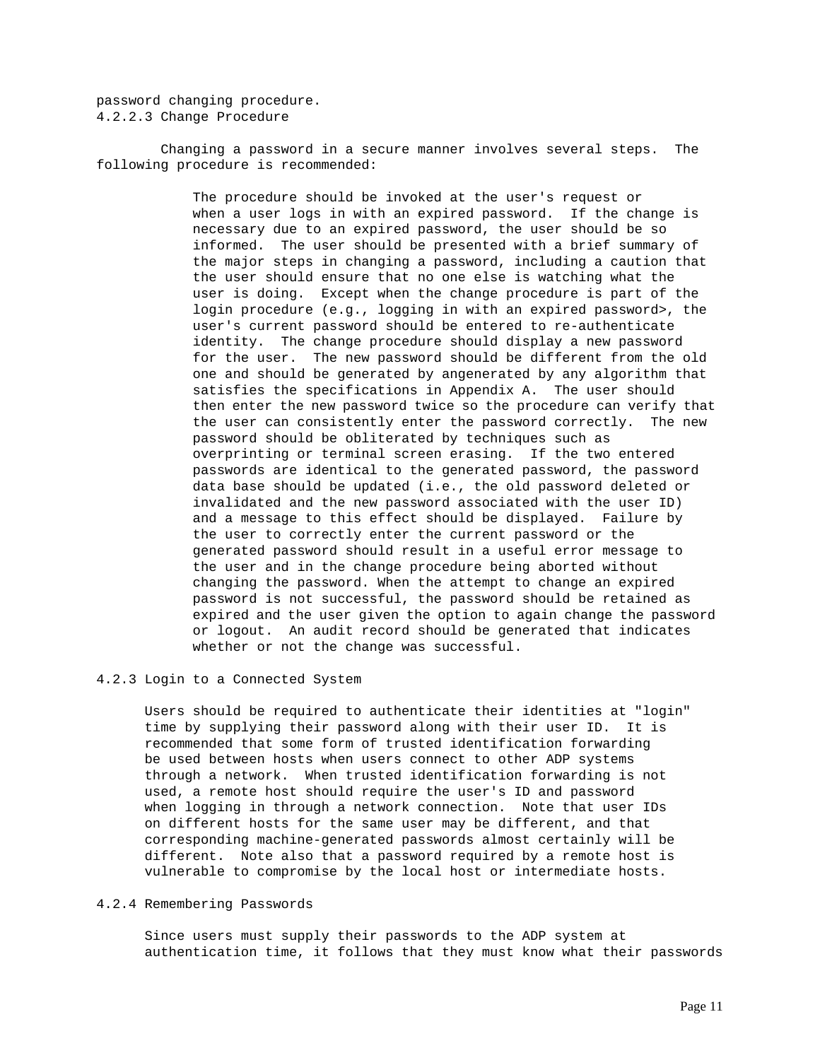password changing procedure. 4.2.2.3 Change Procedure

 Changing a password in a secure manner involves several steps. The following procedure is recommended:

> The procedure should be invoked at the user's request or when a user logs in with an expired password. If the change is necessary due to an expired password, the user should be so informed. The user should be presented with a brief summary of the major steps in changing a password, including a caution that the user should ensure that no one else is watching what the user is doing. Except when the change procedure is part of the login procedure (e.g., logging in with an expired password>, the user's current password should be entered to re-authenticate identity. The change procedure should display a new password for the user. The new password should be different from the old one and should be generated by angenerated by any algorithm that satisfies the specifications in Appendix A. The user should then enter the new password twice so the procedure can verify that the user can consistently enter the password correctly. The new password should be obliterated by techniques such as overprinting or terminal screen erasing. If the two entered passwords are identical to the generated password, the password data base should be updated (i.e., the old password deleted or invalidated and the new password associated with the user ID) and a message to this effect should be displayed. Failure by the user to correctly enter the current password or the generated password should result in a useful error message to the user and in the change procedure being aborted without changing the password. When the attempt to change an expired password is not successful, the password should be retained as expired and the user given the option to again change the password or logout. An audit record should be generated that indicates whether or not the change was successful.

# 4.2.3 Login to a Connected System

 Users should be required to authenticate their identities at "login" time by supplying their password along with their user ID. It is recommended that some form of trusted identification forwarding be used between hosts when users connect to other ADP systems through a network. When trusted identification forwarding is not used, a remote host should require the user's ID and password when logging in through a network connection. Note that user IDs on different hosts for the same user may be different, and that corresponding machine-generated passwords almost certainly will be different. Note also that a password required by a remote host is vulnerable to compromise by the local host or intermediate hosts.

## 4.2.4 Remembering Passwords

 Since users must supply their passwords to the ADP system at authentication time, it follows that they must know what their passwords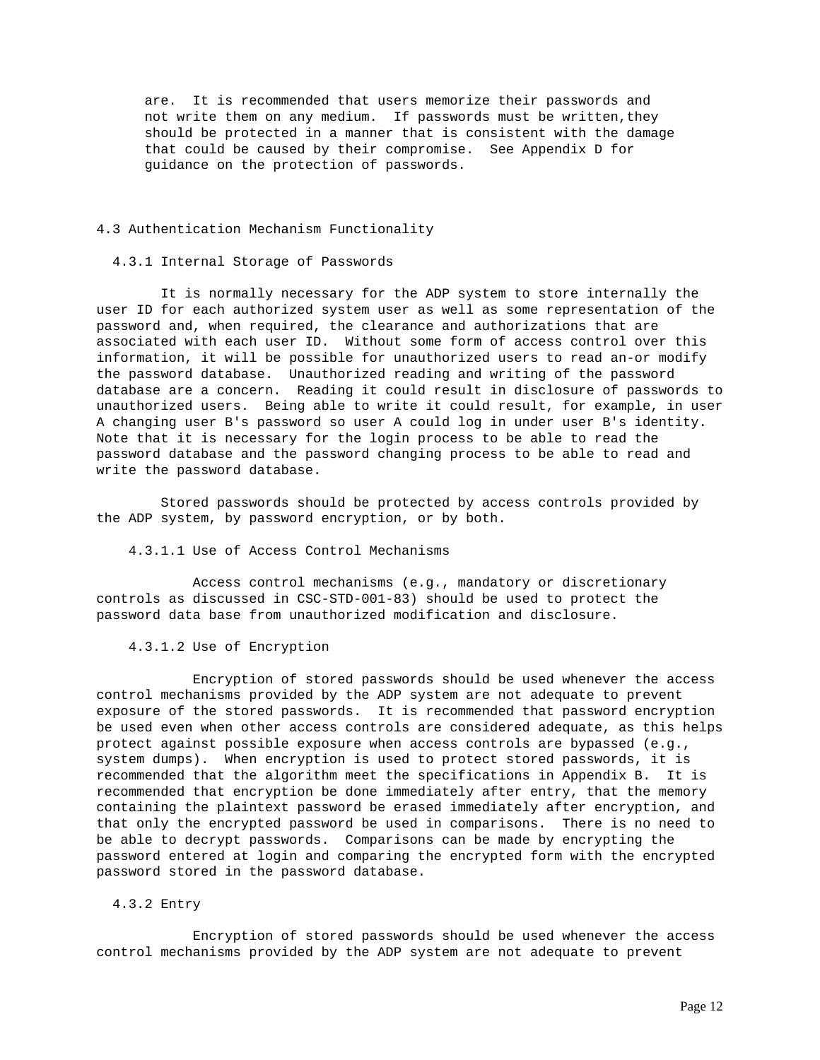are. It is recommended that users memorize their passwords and not write them on any medium. If passwords must be written,they should be protected in a manner that is consistent with the damage that could be caused by their compromise. See Appendix D for guidance on the protection of passwords.

## 4.3 Authentication Mechanism Functionality

### 4.3.1 Internal Storage of Passwords

 It is normally necessary for the ADP system to store internally the user ID for each authorized system user as well as some representation of the password and, when required, the clearance and authorizations that are associated with each user ID. Without some form of access control over this information, it will be possible for unauthorized users to read an-or modify the password database. Unauthorized reading and writing of the password database are a concern. Reading it could result in disclosure of passwords to unauthorized users. Being able to write it could result, for example, in user A changing user B's password so user A could log in under user B's identity. Note that it is necessary for the login process to be able to read the password database and the password changing process to be able to read and write the password database.

 Stored passwords should be protected by access controls provided by the ADP system, by password encryption, or by both.

4.3.1.1 Use of Access Control Mechanisms

 Access control mechanisms (e.g., mandatory or discretionary controls as discussed in CSC-STD-001-83) should be used to protect the password data base from unauthorized modification and disclosure.

4.3.1.2 Use of Encryption

 Encryption of stored passwords should be used whenever the access control mechanisms provided by the ADP system are not adequate to prevent exposure of the stored passwords. It is recommended that password encryption be used even when other access controls are considered adequate, as this helps protect against possible exposure when access controls are bypassed (e.g., system dumps). When encryption is used to protect stored passwords, it is recommended that the algorithm meet the specifications in Appendix B. It is recommended that encryption be done immediately after entry, that the memory containing the plaintext password be erased immediately after encryption, and that only the encrypted password be used in comparisons. There is no need to be able to decrypt passwords. Comparisons can be made by encrypting the password entered at login and comparing the encrypted form with the encrypted password stored in the password database.

# 4.3.2 Entry

 Encryption of stored passwords should be used whenever the access control mechanisms provided by the ADP system are not adequate to prevent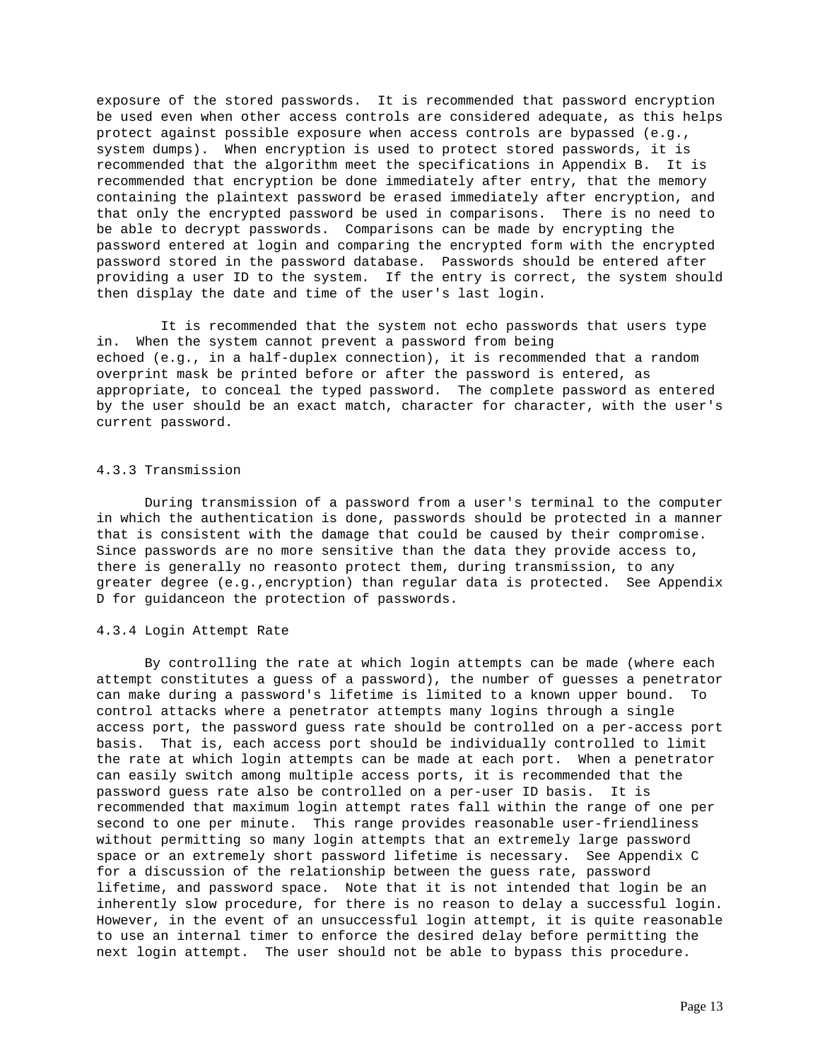exposure of the stored passwords. It is recommended that password encryption be used even when other access controls are considered adequate, as this helps protect against possible exposure when access controls are bypassed (e.g., system dumps). When encryption is used to protect stored passwords, it is recommended that the algorithm meet the specifications in Appendix B. It is recommended that encryption be done immediately after entry, that the memory containing the plaintext password be erased immediately after encryption, and that only the encrypted password be used in comparisons. There is no need to be able to decrypt passwords. Comparisons can be made by encrypting the password entered at login and comparing the encrypted form with the encrypted password stored in the password database. Passwords should be entered after providing a user ID to the system. If the entry is correct, the system should then display the date and time of the user's last login.

 It is recommended that the system not echo passwords that users type in. When the system cannot prevent a password from being echoed (e.g., in a half-duplex connection), it is recommended that a random overprint mask be printed before or after the password is entered, as appropriate, to conceal the typed password. The complete password as entered by the user should be an exact match, character for character, with the user's current password.

### 4.3.3 Transmission

 During transmission of a password from a user's terminal to the computer in which the authentication is done, passwords should be protected in a manner that is consistent with the damage that could be caused by their compromise. Since passwords are no more sensitive than the data they provide access to, there is generally no reasonto protect them, during transmission, to any greater degree (e.g.,encryption) than regular data is protected. See Appendix D for guidanceon the protection of passwords.

### 4.3.4 Login Attempt Rate

 By controlling the rate at which login attempts can be made (where each attempt constitutes a guess of a password), the number of guesses a penetrator can make during a password's lifetime is limited to a known upper bound. To control attacks where a penetrator attempts many logins through a single access port, the password guess rate should be controlled on a per-access port basis. That is, each access port should be individually controlled to limit the rate at which login attempts can be made at each port. When a penetrator can easily switch among multiple access ports, it is recommended that the password guess rate also be controlled on a per-user ID basis. It is recommended that maximum login attempt rates fall within the range of one per second to one per minute. This range provides reasonable user-friendliness without permitting so many login attempts that an extremely large password space or an extremely short password lifetime is necessary. See Appendix C for a discussion of the relationship between the guess rate, password lifetime, and password space. Note that it is not intended that login be an inherently slow procedure, for there is no reason to delay a successful login. However, in the event of an unsuccessful login attempt, it is quite reasonable to use an internal timer to enforce the desired delay before permitting the next login attempt. The user should not be able to bypass this procedure.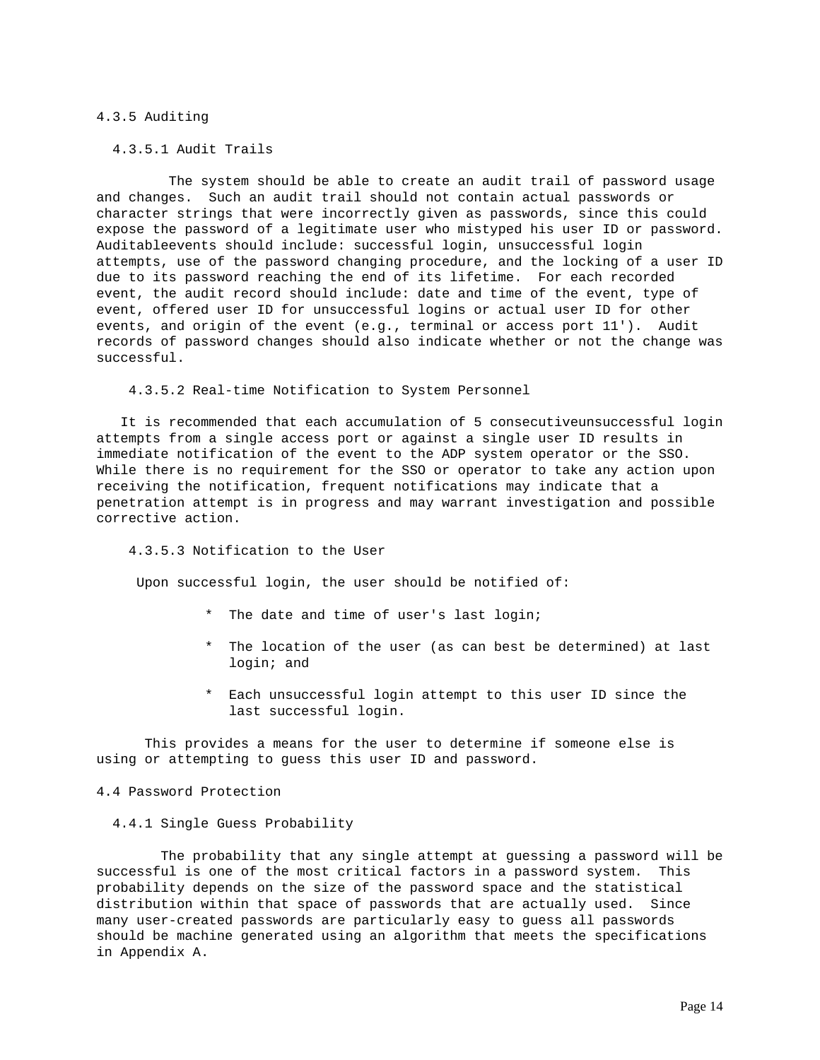# 4.3.5 Auditing

4.3.5.1 Audit Trails

 The system should be able to create an audit trail of password usage and changes. Such an audit trail should not contain actual passwords or character strings that were incorrectly given as passwords, since this could expose the password of a legitimate user who mistyped his user ID or password. Auditableevents should include: successful login, unsuccessful login attempts, use of the password changing procedure, and the locking of a user ID due to its password reaching the end of its lifetime. For each recorded event, the audit record should include: date and time of the event, type of event, offered user ID for unsuccessful logins or actual user ID for other events, and origin of the event (e.g., terminal or access port 11'). Audit records of password changes should also indicate whether or not the change was successful.

4.3.5.2 Real-time Notification to System Personnel

 It is recommended that each accumulation of 5 consecutiveunsuccessful login attempts from a single access port or against a single user ID results in immediate notification of the event to the ADP system operator or the SSO. While there is no requirement for the SSO or operator to take any action upon receiving the notification, frequent notifications may indicate that a penetration attempt is in progress and may warrant investigation and possible corrective action.

4.3.5.3 Notification to the User

Upon successful login, the user should be notified of:

- \* The date and time of user's last login;
- The location of the user (as can best be determined) at last login; and
- \* Each unsuccessful login attempt to this user ID since the last successful login.

 This provides a means for the user to determine if someone else is using or attempting to guess this user ID and password.

4.4 Password Protection

4.4.1 Single Guess Probability

 The probability that any single attempt at guessing a password will be successful is one of the most critical factors in a password system. This probability depends on the size of the password space and the statistical distribution within that space of passwords that are actually used. Since many user-created passwords are particularly easy to guess all passwords should be machine generated using an algorithm that meets the specifications in Appendix A.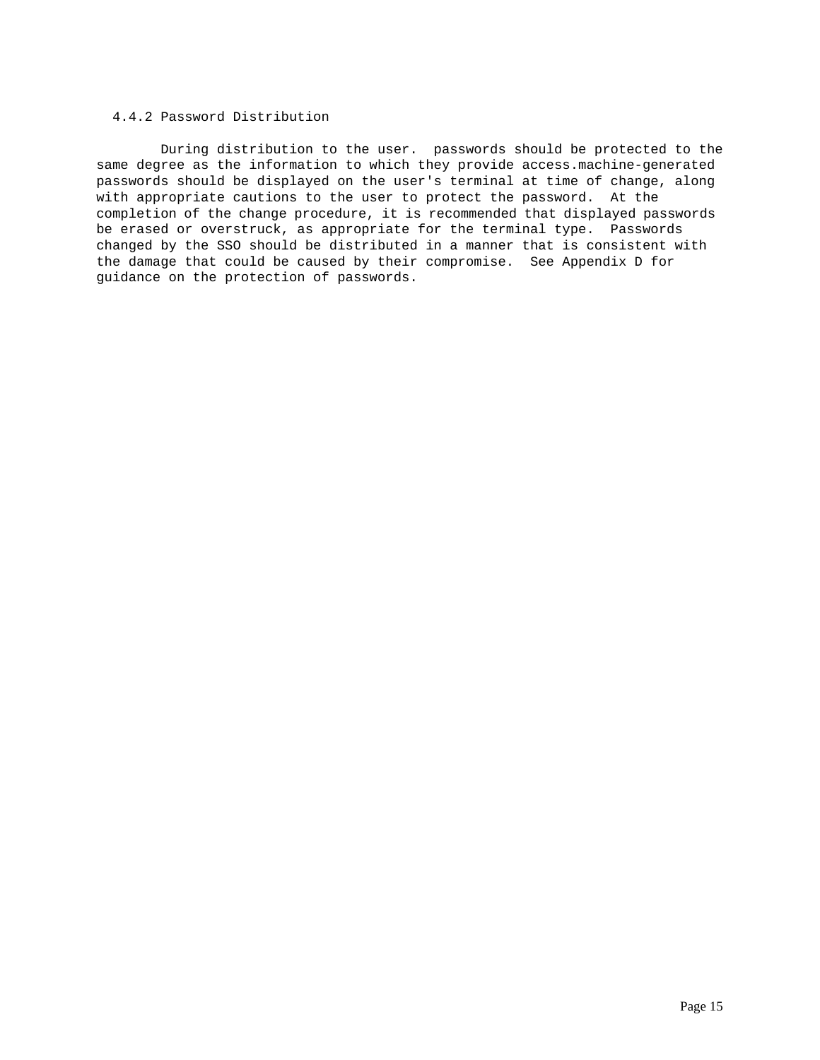# 4.4.2 Password Distribution

 During distribution to the user. passwords should be protected to the same degree as the information to which they provide access.machine-generated passwords should be displayed on the user's terminal at time of change, along with appropriate cautions to the user to protect the password. At the completion of the change procedure, it is recommended that displayed passwords be erased or overstruck, as appropriate for the terminal type. Passwords changed by the SSO should be distributed in a manner that is consistent with the damage that could be caused by their compromise. See Appendix D for guidance on the protection of passwords.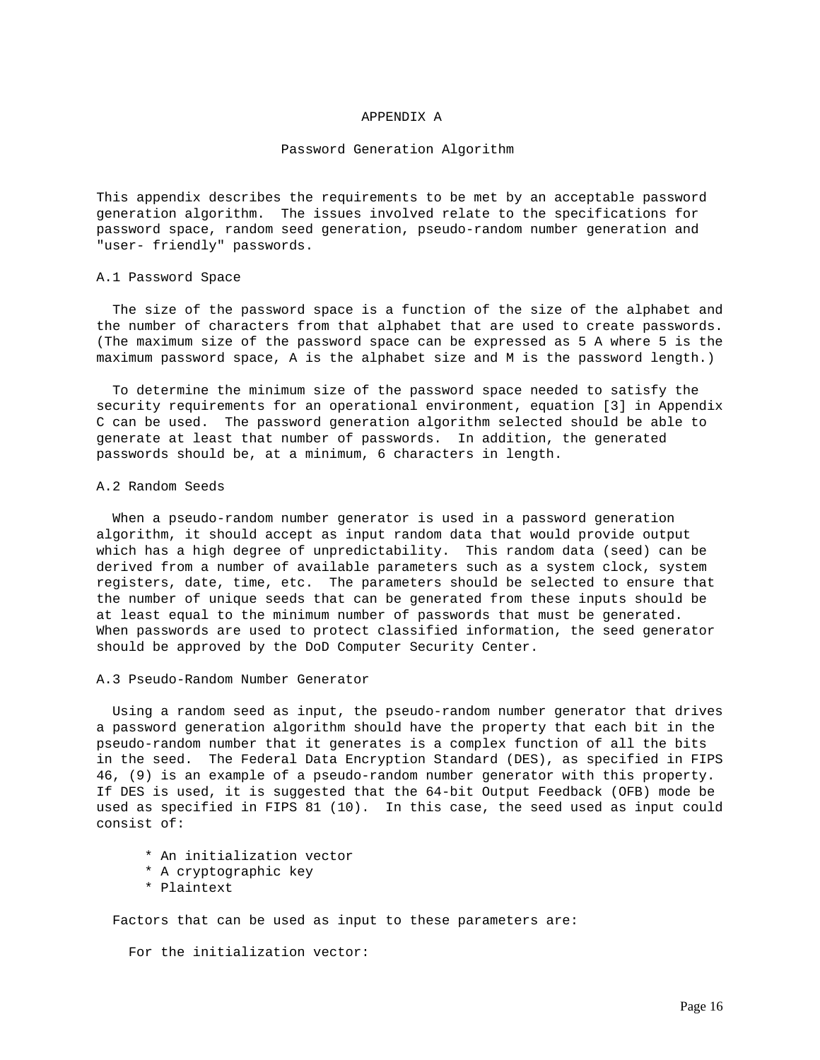### APPENDIX A

### Password Generation Algorithm

This appendix describes the requirements to be met by an acceptable password generation algorithm. The issues involved relate to the specifications for password space, random seed generation, pseudo-random number generation and "user- friendly" passwords.

#### A.1 Password Space

 The size of the password space is a function of the size of the alphabet and the number of characters from that alphabet that are used to create passwords. (The maximum size of the password space can be expressed as 5 A where 5 is the maximum password space, A is the alphabet size and M is the password length.)

 To determine the minimum size of the password space needed to satisfy the security requirements for an operational environment, equation [3] in Appendix C can be used. The password generation algorithm selected should be able to generate at least that number of passwords. In addition, the generated passwords should be, at a minimum, 6 characters in length.

### A.2 Random Seeds

 When a pseudo-random number generator is used in a password generation algorithm, it should accept as input random data that would provide output which has a high degree of unpredictability. This random data (seed) can be derived from a number of available parameters such as a system clock, system registers, date, time, etc. The parameters should be selected to ensure that the number of unique seeds that can be generated from these inputs should be at least equal to the minimum number of passwords that must be generated. When passwords are used to protect classified information, the seed generator should be approved by the DoD Computer Security Center.

### A.3 Pseudo-Random Number Generator

 Using a random seed as input, the pseudo-random number generator that drives a password generation algorithm should have the property that each bit in the pseudo-random number that it generates is a complex function of all the bits in the seed. The Federal Data Encryption Standard (DES), as specified in FIPS 46, (9) is an example of a pseudo-random number generator with this property. If DES is used, it is suggested that the 64-bit Output Feedback (OFB) mode be used as specified in FIPS 81 (10). In this case, the seed used as input could consist of:

- \* An initialization vector
- \* A cryptographic key
- \* Plaintext

Factors that can be used as input to these parameters are:

For the initialization vector: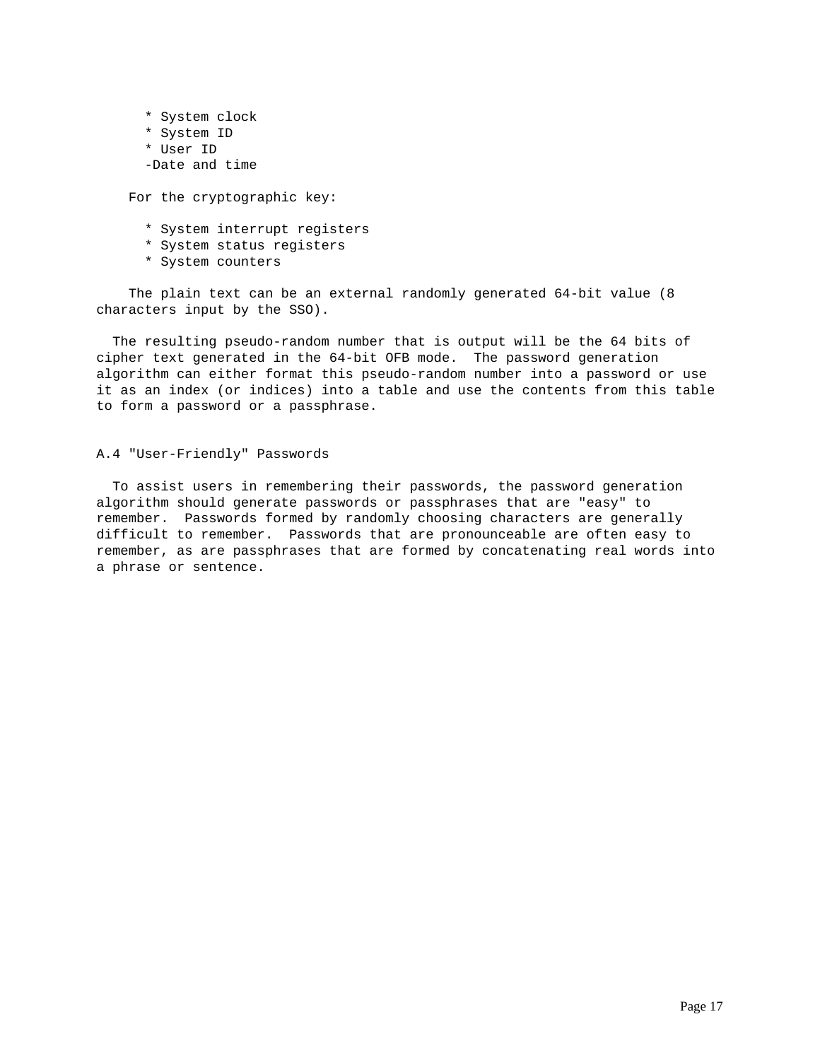\* System clock \* System ID \* User ID -Date and time

For the cryptographic key:

- \* System interrupt registers
- \* System status registers
- \* System counters

 The plain text can be an external randomly generated 64-bit value (8 characters input by the SSO).

 The resulting pseudo-random number that is output will be the 64 bits of cipher text generated in the 64-bit OFB mode. The password generation algorithm can either format this pseudo-random number into a password or use it as an index (or indices) into a table and use the contents from this table to form a password or a passphrase.

### A.4 "User-Friendly" Passwords

 To assist users in remembering their passwords, the password generation algorithm should generate passwords or passphrases that are "easy" to remember. Passwords formed by randomly choosing characters are generally difficult to remember. Passwords that are pronounceable are often easy to remember, as are passphrases that are formed by concatenating real words into a phrase or sentence.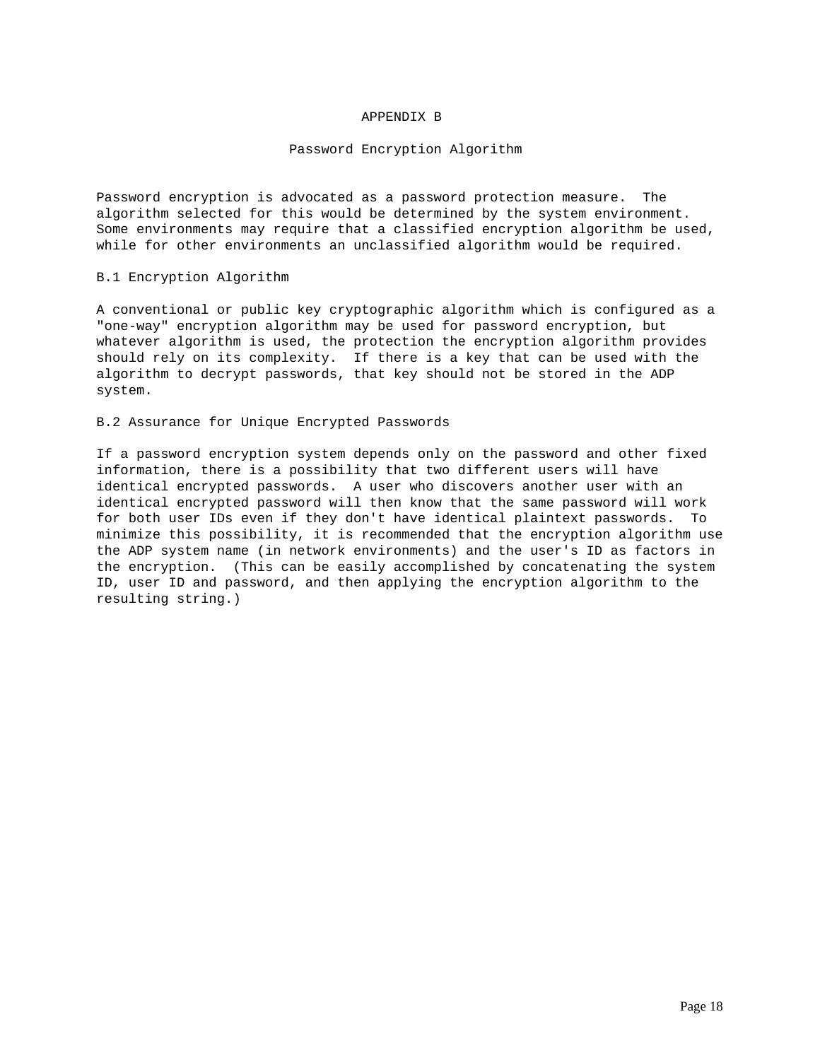## APPENDIX B

### Password Encryption Algorithm

Password encryption is advocated as a password protection measure. The algorithm selected for this would be determined by the system environment. Some environments may require that a classified encryption algorithm be used, while for other environments an unclassified algorithm would be required.

## B.1 Encryption Algorithm

A conventional or public key cryptographic algorithm which is configured as a "one-way" encryption algorithm may be used for password encryption, but whatever algorithm is used, the protection the encryption algorithm provides should rely on its complexity. If there is a key that can be used with the algorithm to decrypt passwords, that key should not be stored in the ADP system.

## B.2 Assurance for Unique Encrypted Passwords

If a password encryption system depends only on the password and other fixed information, there is a possibility that two different users will have identical encrypted passwords. A user who discovers another user with an identical encrypted password will then know that the same password will work for both user IDs even if they don't have identical plaintext passwords. To minimize this possibility, it is recommended that the encryption algorithm use the ADP system name (in network environments) and the user's ID as factors in the encryption. (This can be easily accomplished by concatenating the system ID, user ID and password, and then applying the encryption algorithm to the resulting string.)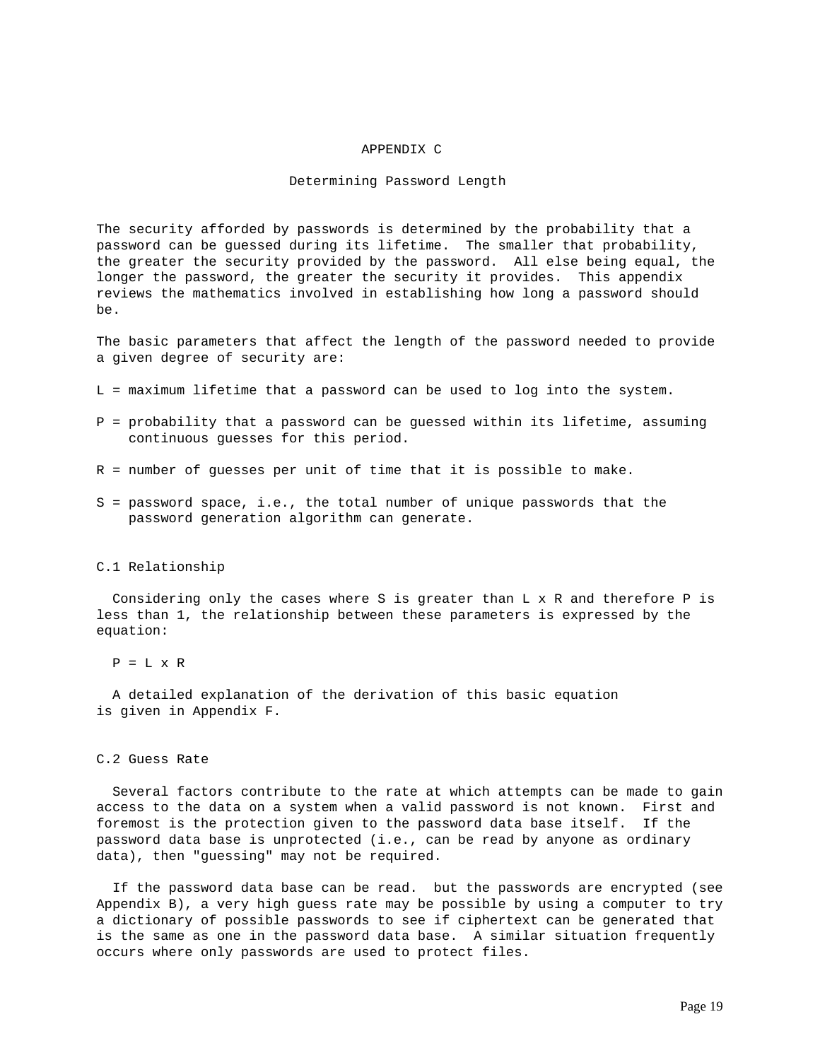### APPENDIX C

## Determining Password Length

The security afforded by passwords is determined by the probability that a password can be guessed during its lifetime. The smaller that probability, the greater the security provided by the password. All else being equal, the longer the password, the greater the security it provides. This appendix reviews the mathematics involved in establishing how long a password should be.

The basic parameters that affect the length of the password needed to provide a given degree of security are:

- L = maximum lifetime that a password can be used to log into the system.
- P = probability that a password can be guessed within its lifetime, assuming continuous guesses for this period.
- R = number of guesses per unit of time that it is possible to make.
- S = password space, i.e., the total number of unique passwords that the password generation algorithm can generate.

### C.1 Relationship

Considering only the cases where S is greater than  $L \times R$  and therefore P is less than 1, the relationship between these parameters is expressed by the equation:

 $P = L \times R$ 

 A detailed explanation of the derivation of this basic equation is given in Appendix F.

# C.2 Guess Rate

 Several factors contribute to the rate at which attempts can be made to gain access to the data on a system when a valid password is not known. First and foremost is the protection given to the password data base itself. If the password data base is unprotected (i.e., can be read by anyone as ordinary data), then "guessing" may not be required.

 If the password data base can be read. but the passwords are encrypted (see Appendix B), a very high guess rate may be possible by using a computer to try a dictionary of possible passwords to see if ciphertext can be generated that is the same as one in the password data base. A similar situation frequently occurs where only passwords are used to protect files.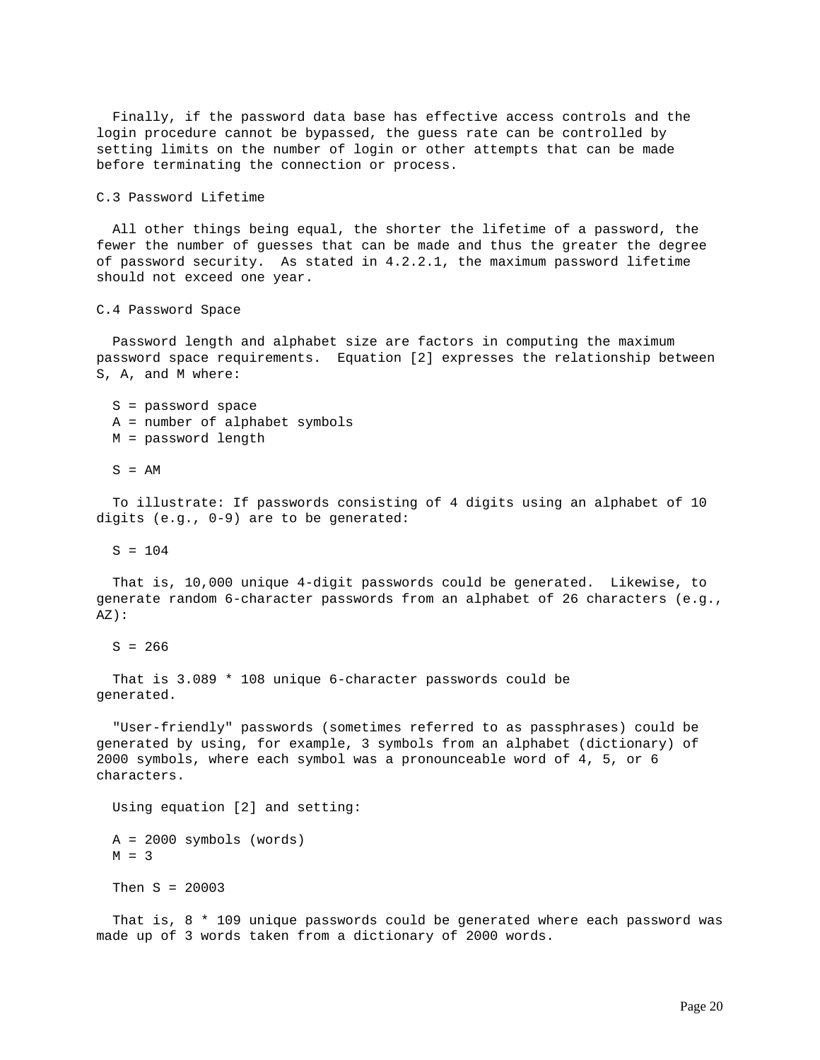Finally, if the password data base has effective access controls and the login procedure cannot be bypassed, the guess rate can be controlled by setting limits on the number of login or other attempts that can be made before terminating the connection or process.

C.3 Password Lifetime

 All other things being equal, the shorter the lifetime of a password, the fewer the number of guesses that can be made and thus the greater the degree of password security. As stated in 4.2.2.1, the maximum password lifetime should not exceed one year.

C.4 Password Space

 Password length and alphabet size are factors in computing the maximum password space requirements. Equation [2] expresses the relationship between S, A, and M where:

 S = password space A = number of alphabet symbols

M = password length

 $S = AM$ 

 To illustrate: If passwords consisting of 4 digits using an alphabet of 10 digits (e.g., 0-9) are to be generated:

 $S = 104$ 

 That is, 10,000 unique 4-digit passwords could be generated. Likewise, to generate random 6-character passwords from an alphabet of 26 characters (e.g., AZ):

 $S = 266$ 

 That is 3.089 \* 108 unique 6-character passwords could be generated.

 "User-friendly" passwords (sometimes referred to as passphrases) could be generated by using, for example, 3 symbols from an alphabet (dictionary) of 2000 symbols, where each symbol was a pronounceable word of 4, 5, or 6 characters.

Using equation [2] and setting:

 A = 2000 symbols (words)  $M = 3$ 

Then S = 20003

 That is, 8 \* 109 unique passwords could be generated where each password was made up of 3 words taken from a dictionary of 2000 words.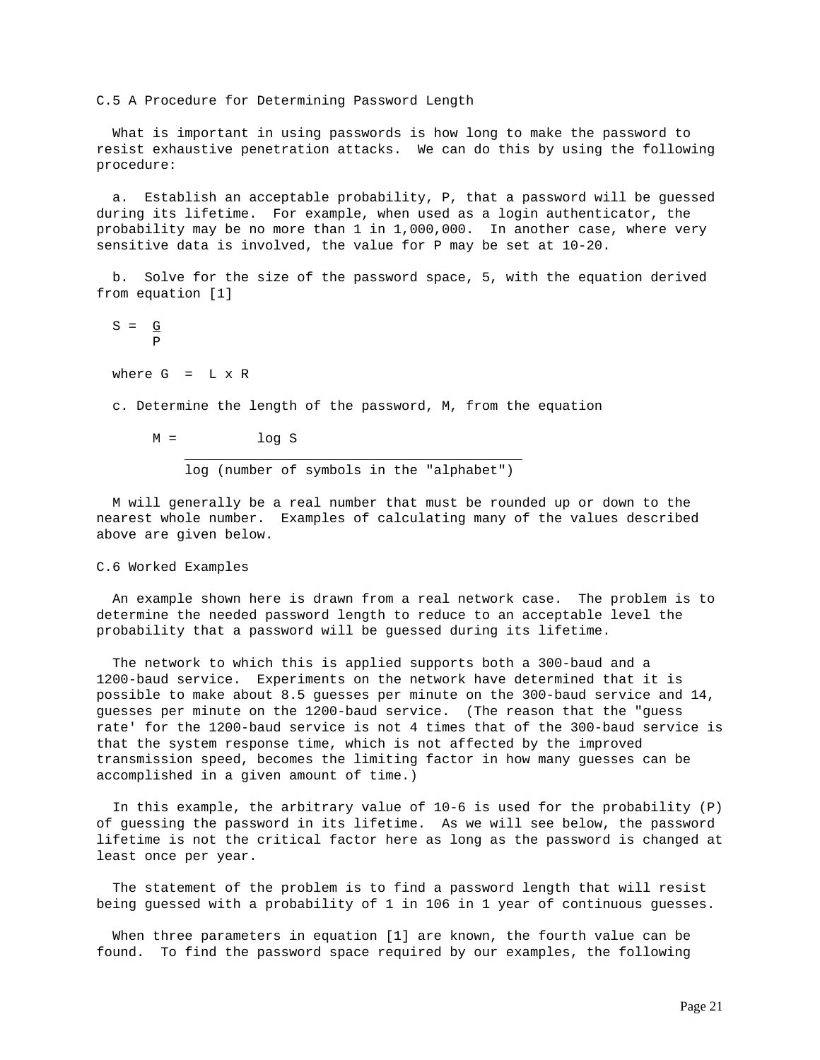C.5 A Procedure for Determining Password Length

 What is important in using passwords is how long to make the password to resist exhaustive penetration attacks. We can do this by using the following procedure:

 a. Establish an acceptable probability, P, that a password will be guessed during its lifetime. For example, when used as a login authenticator, the probability may be no more than 1 in 1,000,000. In another case, where very sensitive data is involved, the value for P may be set at 10-20.

 b. Solve for the size of the password space, 5, with the equation derived from equation [1]

 $S = G$ P

where  $G = L \times R$ 

c. Determine the length of the password, M, from the equation

 $M =$   $log S$ 

log (number of symbols in the "alphabet")

 M will generally be a real number that must be rounded up or down to the nearest whole number. Examples of calculating many of the values described above are given below.

### C.6 Worked Examples

 An example shown here is drawn from a real network case. The problem is to determine the needed password length to reduce to an acceptable level the probability that a password will be guessed during its lifetime.

 The network to which this is applied supports both a 300-baud and a 1200-baud service. Experiments on the network have determined that it is possible to make about 8.5 guesses per minute on the 300-baud service and 14, guesses per minute on the 1200-baud service. (The reason that the "guess rate' for the 1200-baud service is not 4 times that of the 300-baud service is that the system response time, which is not affected by the improved transmission speed, becomes the limiting factor in how many guesses can be accomplished in a given amount of time.)

 In this example, the arbitrary value of 10-6 is used for the probability (P) of guessing the password in its lifetime. As we will see below, the password lifetime is not the critical factor here as long as the password is changed at least once per year.

 The statement of the problem is to find a password length that will resist being guessed with a probability of 1 in 106 in 1 year of continuous guesses.

 When three parameters in equation [1] are known, the fourth value can be found. To find the password space required by our examples, the following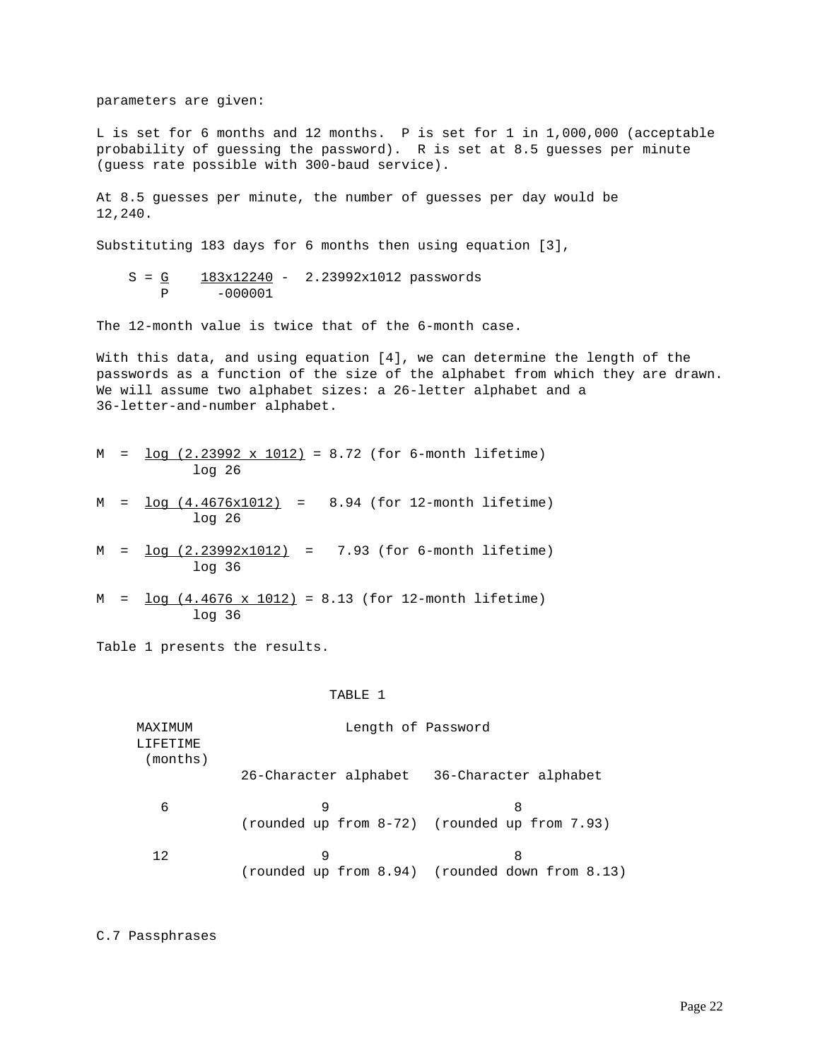parameters are given:

L is set for 6 months and 12 months. P is set for 1 in 1,000,000 (acceptable probability of guessing the password). R is set at 8.5 guesses per minute (guess rate possible with 300-baud service).

At 8.5 guesses per minute, the number of guesses per day would be 12,240.

Substituting 183 days for 6 months then using equation [3],

$$
S = \underline{G} \qquad \frac{183x12240}{-000001} - 2.23992x1012 \text{ passwords}
$$

The 12-month value is twice that of the 6-month case.

With this data, and using equation [4], we can determine the length of the passwords as a function of the size of the alphabet from which they are drawn. We will assume two alphabet sizes: a 26-letter alphabet and a 36-letter-and-number alphabet.

|  |        |  |  |  | $M = \log (2.23992 \times 1012) = 8.72$ (for 6-month lifetime) |
|--|--------|--|--|--|----------------------------------------------------------------|
|  | log 26 |  |  |  |                                                                |

- M = log (4.4676x1012) = 8.94 (for 12-month lifetime) log 26
- M = log (2.23992x1012) = 7.93 (for 6-month lifetime) log 36
- $M = \log (4.4676 \times 1012) = 8.13$  (for 12-month lifetime) log 36

Table 1 presents the results.

### TABLE 1

| MAXIMUM<br>T.TFF.TTMF. | Length of Password    |                                                      |
|------------------------|-----------------------|------------------------------------------------------|
| (months)               | 26-Character alphabet | 36-Character alphabet                                |
| 6                      | 9                     | 8<br>(rounded up from 8-72) (rounded up from 7.93)   |
| 12                     | 9                     | 8<br>(rounded up from 8.94) (rounded down from 8.13) |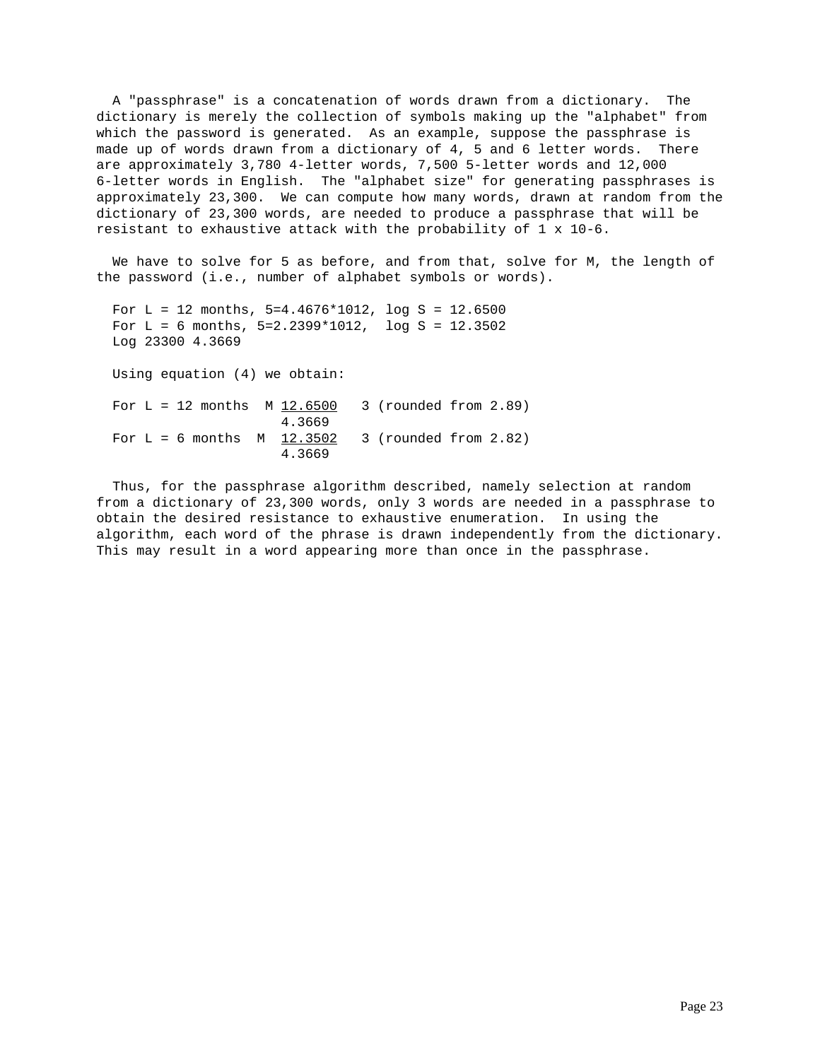A "passphrase" is a concatenation of words drawn from a dictionary. The dictionary is merely the collection of symbols making up the "alphabet" from which the password is generated. As an example, suppose the passphrase is made up of words drawn from a dictionary of 4, 5 and 6 letter words. There are approximately 3,780 4-letter words, 7,500 5-letter words and 12,000 6-letter words in English. The "alphabet size" for generating passphrases is approximately 23,300. We can compute how many words, drawn at random from the dictionary of 23,300 words, are needed to produce a passphrase that will be resistant to exhaustive attack with the probability of  $1 \times 10^{-6}$ .

 We have to solve for 5 as before, and from that, solve for M, the length of the password (i.e., number of alphabet symbols or words).

```
For L = 12 months, 5=4.4676*1012, log S = 12.6500For L = 6 months, 5=2.2399*1012, log S = 12.3502 Log 23300 4.3669
 Using equation (4) we obtain:
For L = 12 months M_1 12.6500 3 (rounded from 2.89)
                      4.3669
For L = 6 months M = 12.3502 3 (rounded from 2.82)
                      4.3669
```
 Thus, for the passphrase algorithm described, namely selection at random from a dictionary of 23,300 words, only 3 words are needed in a passphrase to obtain the desired resistance to exhaustive enumeration. In using the algorithm, each word of the phrase is drawn independently from the dictionary. This may result in a word appearing more than once in the passphrase.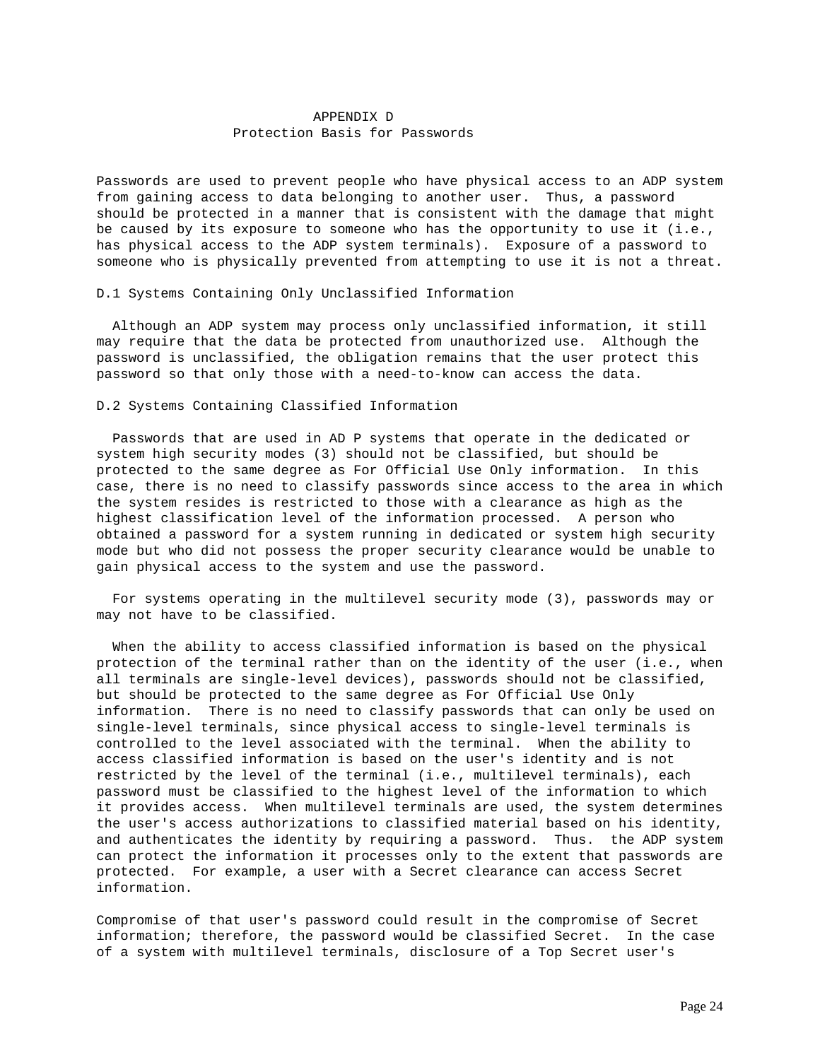# APPENDIX D Protection Basis for Passwords

Passwords are used to prevent people who have physical access to an ADP system from gaining access to data belonging to another user. Thus, a password should be protected in a manner that is consistent with the damage that might be caused by its exposure to someone who has the opportunity to use it (i.e., has physical access to the ADP system terminals). Exposure of a password to someone who is physically prevented from attempting to use it is not a threat.

D.1 Systems Containing Only Unclassified Information

 Although an ADP system may process only unclassified information, it still may require that the data be protected from unauthorized use. Although the password is unclassified, the obligation remains that the user protect this password so that only those with a need-to-know can access the data.

## D.2 Systems Containing Classified Information

 Passwords that are used in AD P systems that operate in the dedicated or system high security modes (3) should not be classified, but should be protected to the same degree as For Official Use Only information. In this case, there is no need to classify passwords since access to the area in which the system resides is restricted to those with a clearance as high as the highest classification level of the information processed. A person who obtained a password for a system running in dedicated or system high security mode but who did not possess the proper security clearance would be unable to gain physical access to the system and use the password.

 For systems operating in the multilevel security mode (3), passwords may or may not have to be classified.

 When the ability to access classified information is based on the physical protection of the terminal rather than on the identity of the user (i.e., when all terminals are single-level devices), passwords should not be classified, but should be protected to the same degree as For Official Use Only information. There is no need to classify passwords that can only be used on single-level terminals, since physical access to single-level terminals is controlled to the level associated with the terminal. When the ability to access classified information is based on the user's identity and is not restricted by the level of the terminal (i.e., multilevel terminals), each password must be classified to the highest level of the information to which it provides access. When multilevel terminals are used, the system determines the user's access authorizations to classified material based on his identity, and authenticates the identity by requiring a password. Thus. the ADP system can protect the information it processes only to the extent that passwords are protected. For example, a user with a Secret clearance can access Secret information.

Compromise of that user's password could result in the compromise of Secret information; therefore, the password would be classified Secret. In the case of a system with multilevel terminals, disclosure of a Top Secret user's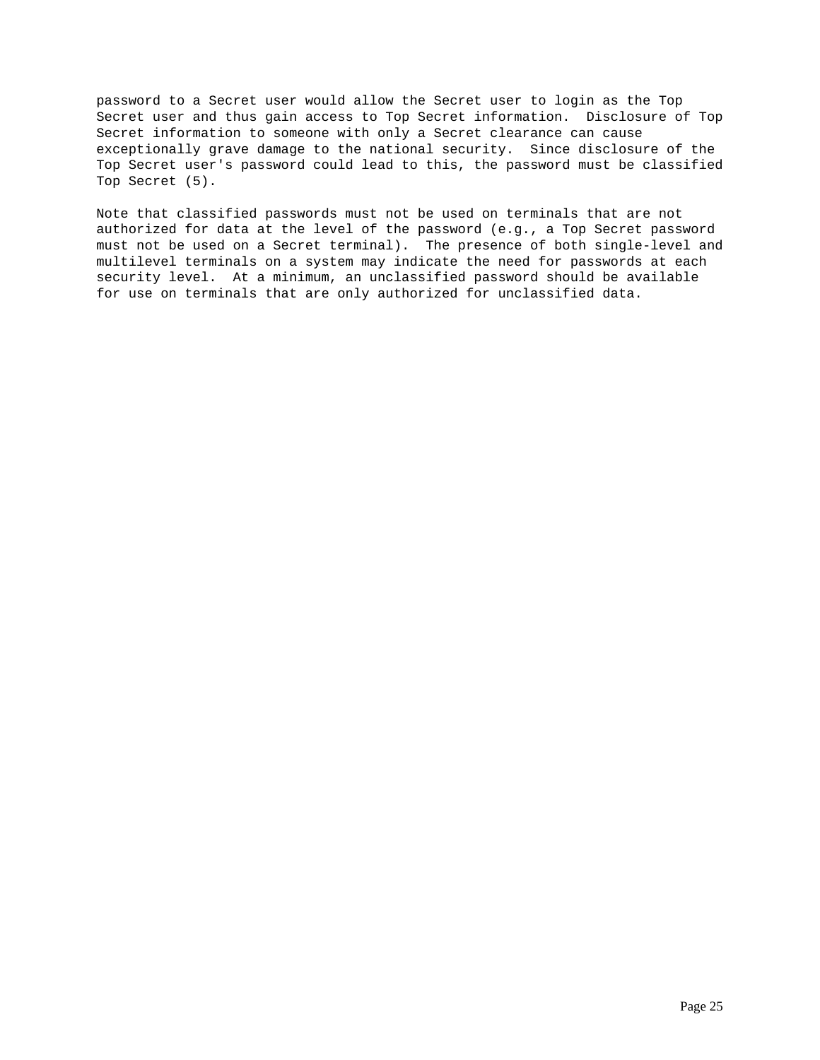password to a Secret user would allow the Secret user to login as the Top Secret user and thus gain access to Top Secret information. Disclosure of Top Secret information to someone with only a Secret clearance can cause exceptionally grave damage to the national security. Since disclosure of the Top Secret user's password could lead to this, the password must be classified Top Secret (5).

Note that classified passwords must not be used on terminals that are not authorized for data at the level of the password (e.g., a Top Secret password must not be used on a Secret terminal). The presence of both single-level and multilevel terminals on a system may indicate the need for passwords at each security level. At a minimum, an unclassified password should be available for use on terminals that are only authorized for unclassified data.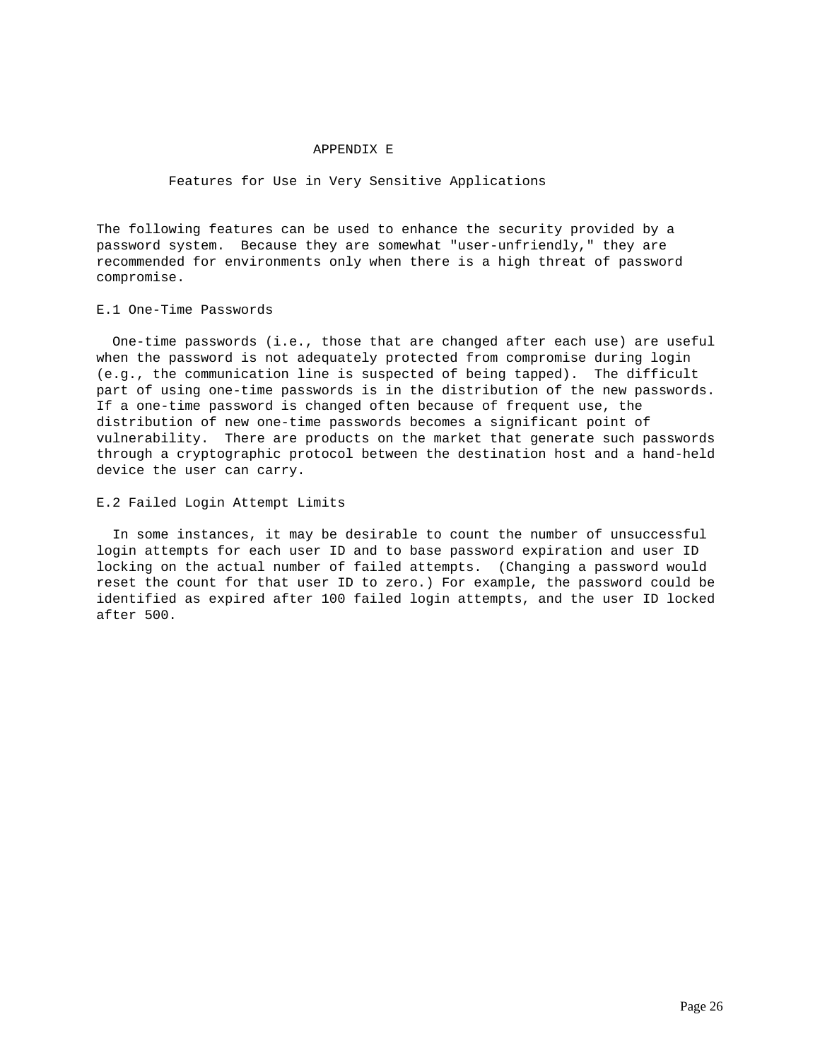### APPENDIX E

## Features for Use in Very Sensitive Applications

The following features can be used to enhance the security provided by a password system. Because they are somewhat "user-unfriendly," they are recommended for environments only when there is a high threat of password compromise.

### E.1 One-Time Passwords

 One-time passwords (i.e., those that are changed after each use) are useful when the password is not adequately protected from compromise during login (e.g., the communication line is suspected of being tapped). The difficult part of using one-time passwords is in the distribution of the new passwords. If a one-time password is changed often because of frequent use, the distribution of new one-time passwords becomes a significant point of vulnerability. There are products on the market that generate such passwords through a cryptographic protocol between the destination host and a hand-held device the user can carry.

## E.2 Failed Login Attempt Limits

 In some instances, it may be desirable to count the number of unsuccessful login attempts for each user ID and to base password expiration and user ID locking on the actual number of failed attempts. (Changing a password would reset the count for that user ID to zero.) For example, the password could be identified as expired after 100 failed login attempts, and the user ID locked after 500.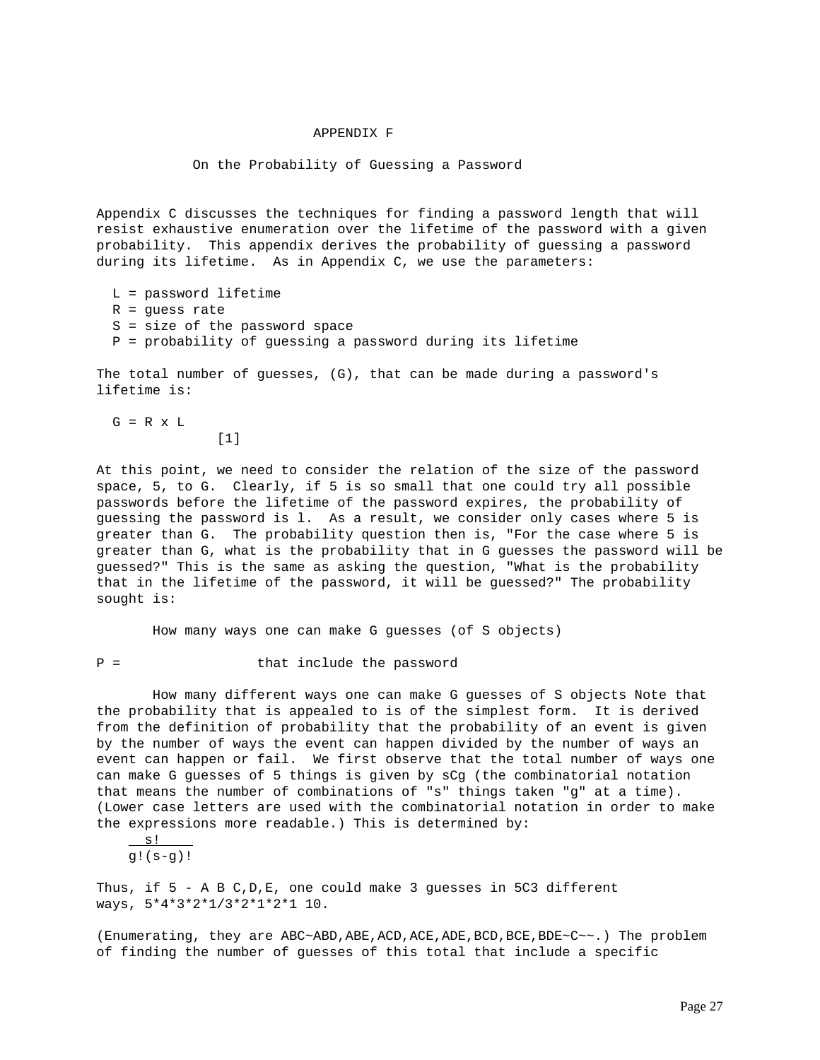### APPENDIX F

#### On the Probability of Guessing a Password

Appendix C discusses the techniques for finding a password length that will resist exhaustive enumeration over the lifetime of the password with a given probability. This appendix derives the probability of guessing a password during its lifetime. As in Appendix C, we use the parameters:

 L = password lifetime  $R =$  guess rate S = size of the password space P = probability of guessing a password during its lifetime

The total number of guesses, (G), that can be made during a password's lifetime is:

 $G = R \times L$  $[1]$ 

At this point, we need to consider the relation of the size of the password space, 5, to G. Clearly, if 5 is so small that one could try all possible passwords before the lifetime of the password expires, the probability of guessing the password is l. As a result, we consider only cases where 5 is greater than G. The probability question then is, "For the case where 5 is greater than G, what is the probability that in G guesses the password will be guessed?" This is the same as asking the question, "What is the probability that in the lifetime of the password, it will be guessed?" The probability sought is:

How many ways one can make G guesses (of S objects)

P = that include the password

 How many different ways one can make G guesses of S objects Note that the probability that is appealed to is of the simplest form. It is derived from the definition of probability that the probability of an event is given by the number of ways the event can happen divided by the number of ways an event can happen or fail. We first observe that the total number of ways one can make G guesses of 5 things is given by sCg (the combinatorial notation that means the number of combinations of "s" things taken "g" at a time). (Lower case letters are used with the combinatorial notation in order to make the expressions more readable.) This is determined by:

 $S!$  $q$ !( $s-q$ )!

Thus, if 5 - A B C,D,E, one could make 3 guesses in 5C3 different ways, 5\*4\*3\*2\*1/3\*2\*1\*2\*1 10.

(Enumerating, they are ABC~ABD,ABE,ACD,ACE,ADE,BCD,BCE,BDE~C~~.) The problem of finding the number of guesses of this total that include a specific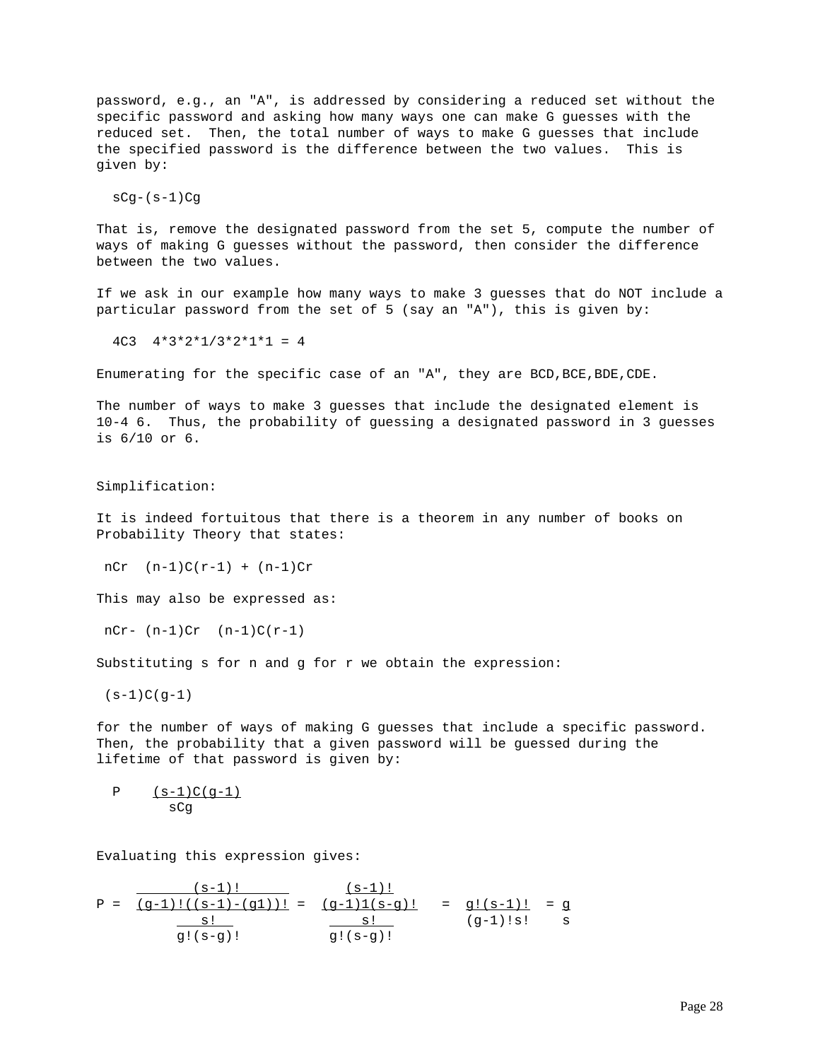password, e.g., an "A", is addressed by considering a reduced set without the specific password and asking how many ways one can make G guesses with the reduced set. Then, the total number of ways to make G guesses that include the specified password is the difference between the two values. This is given by:

 $sCg-(s-1)Cg$ 

That is, remove the designated password from the set 5, compute the number of ways of making G guesses without the password, then consider the difference between the two values.

If we ask in our example how many ways to make 3 guesses that do NOT include a particular password from the set of 5 (say an "A"), this is given by:

 $4C3$   $4*3*2*1/3*2*1*1 = 4$ 

Enumerating for the specific case of an "A", they are BCD,BCE,BDE,CDE.

The number of ways to make 3 guesses that include the designated element is 10-4 6. Thus, the probability of guessing a designated password in 3 guesses is 6/10 or 6.

Simplification:

It is indeed fortuitous that there is a theorem in any number of books on Probability Theory that states:

n $Cr$   $(n-1)C(r-1) + (n-1)Cr$ 

This may also be expressed as:

n $Cr- (n-1)Cr (n-1)C(r-1)$ 

Substituting s for n and g for r we obtain the expression:

 $(s-1)C(q-1)$ 

for the number of ways of making G guesses that include a specific password. Then, the probability that a given password will be guessed during the lifetime of that password is given by:

$$
\begin{array}{cc}\n P & \frac{(s-1)C(g-1)}{sCg}\n \end{array}
$$

Evaluating this expression gives:

$$
P = \frac{(s-1)!}{(g-1)!((s-1)-(g1))!} = \frac{(s-1)!}{(g-1)1(s-g)!} = g!(s-1)! = g
$$
  

$$
\frac{s!}{g!(s-g)!} = \frac{s!}{g!(s-g)!} = g!(s-1)! = g
$$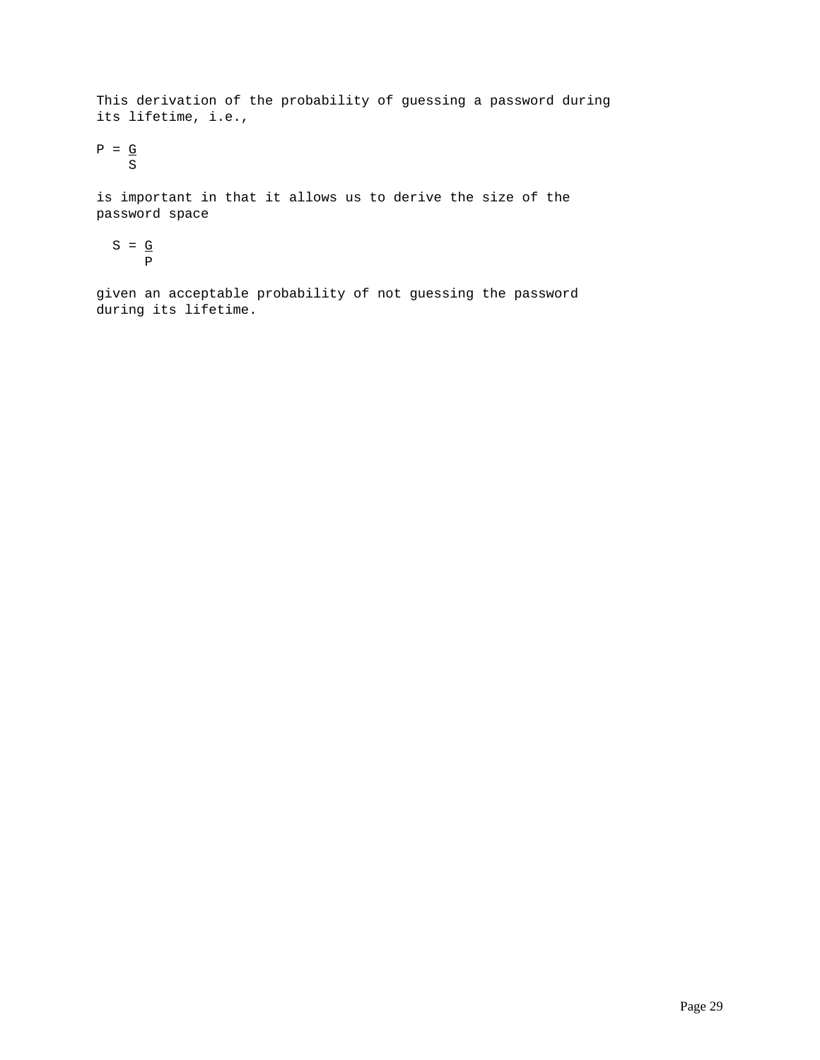This derivation of the probability of guessing a password during its lifetime, i.e.,

 $P = G$ S

is important in that it allows us to derive the size of the password space

$$
S = \frac{G}{P}
$$

given an acceptable probability of not guessing the password during its lifetime.